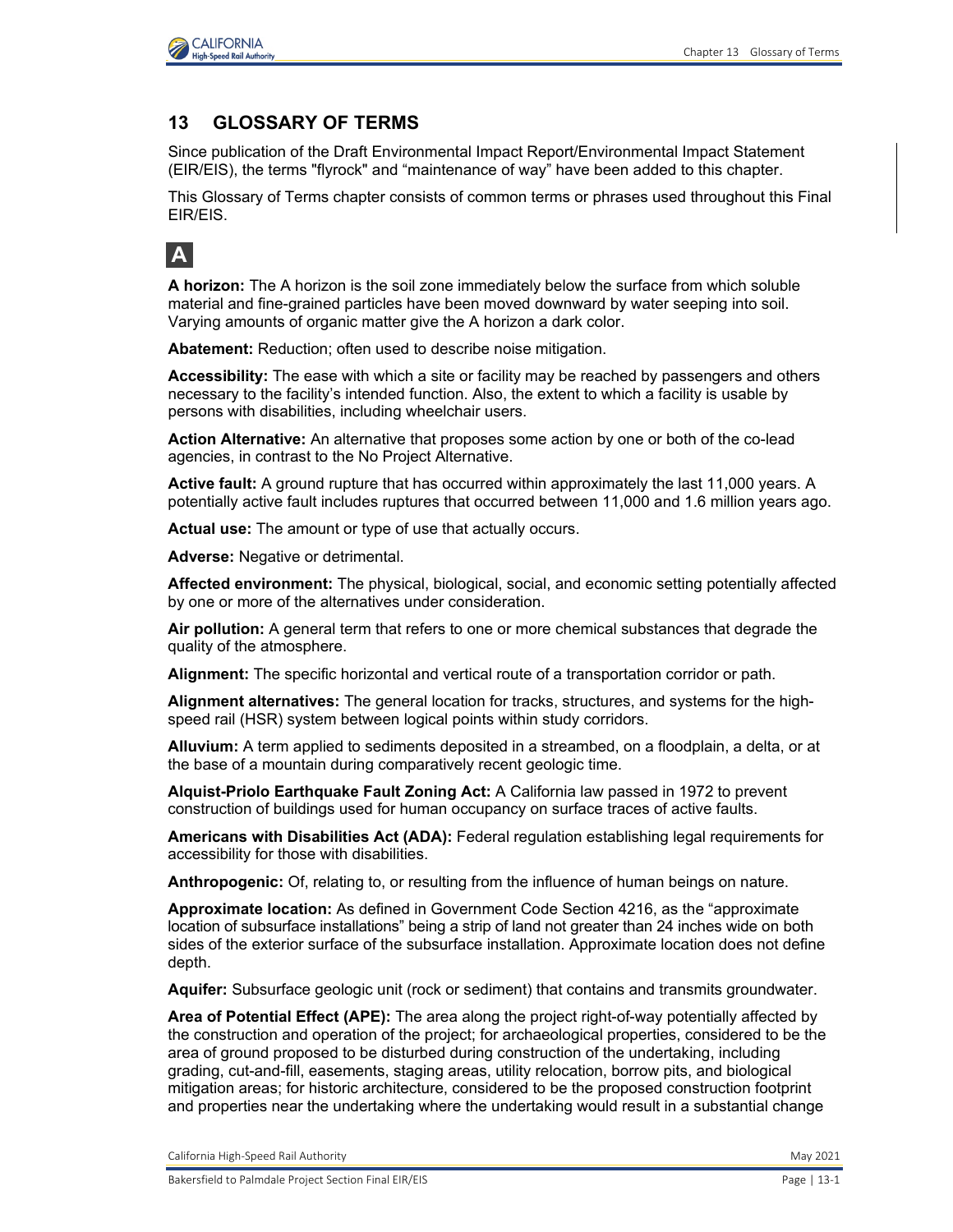

#### **13 GLOSSARY OF TERMS**

Since publication of the Draft Environmental Impact Report/Environmental Impact Statement (EIR/EIS), the terms "flyrock" and "maintenance of way" have been added to this chapter.

This Glossary of Terms chapter consists of common terms or phrases used throughout this Final EIR/EIS.

## **A**

**A horizon:** The A horizon is the soil zone immediately below the surface from which soluble material and fine-grained particles have been moved downward by water seeping into soil. Varying amounts of organic matter give the A horizon a dark color.

**Abatement:** Reduction; often used to describe noise mitigation.

**Accessibility:** The ease with which a site or facility may be reached by passengers and others necessary to the facility's intended function. Also, the extent to which a facility is usable by persons with disabilities, including wheelchair users.

**Action Alternative:** An alternative that proposes some action by one or both of the co-lead agencies, in contrast to the No Project Alternative.

**Active fault:** A ground rupture that has occurred within approximately the last 11,000 years. A potentially active fault includes ruptures that occurred between 11,000 and 1.6 million years ago.

**Actual use:** The amount or type of use that actually occurs.

**Adverse:** Negative or detrimental.

**Affected environment:** The physical, biological, social, and economic setting potentially affected by one or more of the alternatives under consideration.

**Air pollution:** A general term that refers to one or more chemical substances that degrade the quality of the atmosphere.

**Alignment:** The specific horizontal and vertical route of a transportation corridor or path.

**Alignment alternatives:** The general location for tracks, structures, and systems for the highspeed rail (HSR) system between logical points within study corridors.

**Alluvium:** A term applied to sediments deposited in a streambed, on a floodplain, a delta, or at the base of a mountain during comparatively recent geologic time.

**Alquist-Priolo Earthquake Fault Zoning Act:** A California law passed in 1972 to prevent construction of buildings used for human occupancy on surface traces of active faults.

**Americans with Disabilities Act (ADA):** Federal regulation establishing legal requirements for accessibility for those with disabilities.

**Anthropogenic:** Of, relating to, or resulting from the influence of human beings on nature.

**Approximate location:** As defined in Government Code Section 4216, as the "approximate location of subsurface installations" being a strip of land not greater than 24 inches wide on both sides of the exterior surface of the subsurface installation. Approximate location does not define depth.

**Aquifer:** Subsurface geologic unit (rock or sediment) that contains and transmits groundwater.

**Area of Potential Effect (APE):** The area along the project right-of-way potentially affected by the construction and operation of the project; for archaeological properties, considered to be the area of ground proposed to be disturbed during construction of the undertaking, including grading, cut-and-fill, easements, staging areas, utility relocation, borrow pits, and biological mitigation areas; for historic architecture, considered to be the proposed construction footprint and properties near the undertaking where the undertaking would result in a substantial change

California High-Speed Rail Authority **May 2021** 2021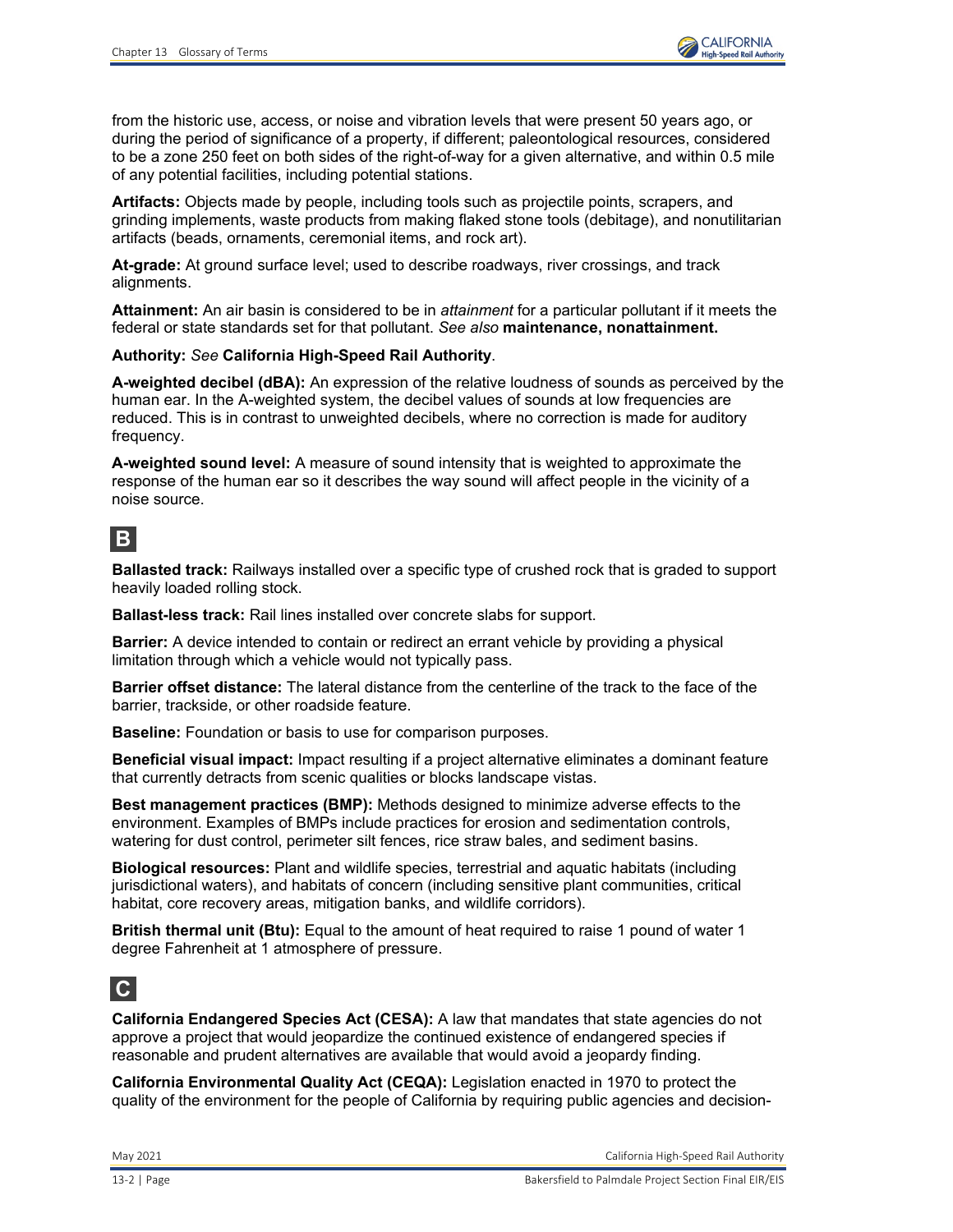

from the historic use, access, or noise and vibration levels that were present 50 years ago, or during the period of significance of a property, if different; paleontological resources, considered to be a zone 250 feet on both sides of the right-of-way for a given alternative, and within 0.5 mile of any potential facilities, including potential stations.

**Artifacts:** Objects made by people, including tools such as projectile points, scrapers, and grinding implements, waste products from making flaked stone tools (debitage), and nonutilitarian artifacts (beads, ornaments, ceremonial items, and rock art).

**At-grade:** At ground surface level; used to describe roadways, river crossings, and track alignments.

**Attainment:** An air basin is considered to be in *attainment* for a particular pollutant if it meets the federal or state standards set for that pollutant. *See also* **maintenance, nonattainment.**

#### **Authority:** *See* **California High-Speed Rail Authority**.

**A-weighted decibel (dBA):** An expression of the relative loudness of sounds as perceived by the human ear. In the A-weighted system, the decibel values of sounds at low frequencies are reduced. This is in contrast to unweighted decibels, where no correction is made for auditory frequency.

**A-weighted sound level:** A measure of sound intensity that is weighted to approximate the response of the human ear so it describes the way sound will affect people in the vicinity of a noise source.

## **B**

**Ballasted track:** Railways installed over a specific type of crushed rock that is graded to support heavily loaded rolling stock.

**Ballast-less track:** Rail lines installed over concrete slabs for support.

**Barrier:** A device intended to contain or redirect an errant vehicle by providing a physical limitation through which a vehicle would not typically pass.

**Barrier offset distance:** The lateral distance from the centerline of the track to the face of the barrier, trackside, or other roadside feature.

**Baseline:** Foundation or basis to use for comparison purposes.

**Beneficial visual impact:** Impact resulting if a project alternative eliminates a dominant feature that currently detracts from scenic qualities or blocks landscape vistas.

**Best management practices (BMP):** Methods designed to minimize adverse effects to the environment. Examples of BMPs include practices for erosion and sedimentation controls, watering for dust control, perimeter silt fences, rice straw bales, and sediment basins.

**Biological resources:** Plant and wildlife species, terrestrial and aquatic habitats (including jurisdictional waters), and habitats of concern (including sensitive plant communities, critical habitat, core recovery areas, mitigation banks, and wildlife corridors).

**British thermal unit (Btu):** Equal to the amount of heat required to raise 1 pound of water 1 degree Fahrenheit at 1 atmosphere of pressure.

#### **C**

**California Endangered Species Act (CESA):** A law that mandates that state agencies do not approve a project that would jeopardize the continued existence of endangered species if reasonable and prudent alternatives are available that would avoid a jeopardy finding.

**California Environmental Quality Act (CEQA):** Legislation enacted in 1970 to protect the quality of the environment for the people of California by requiring public agencies and decision-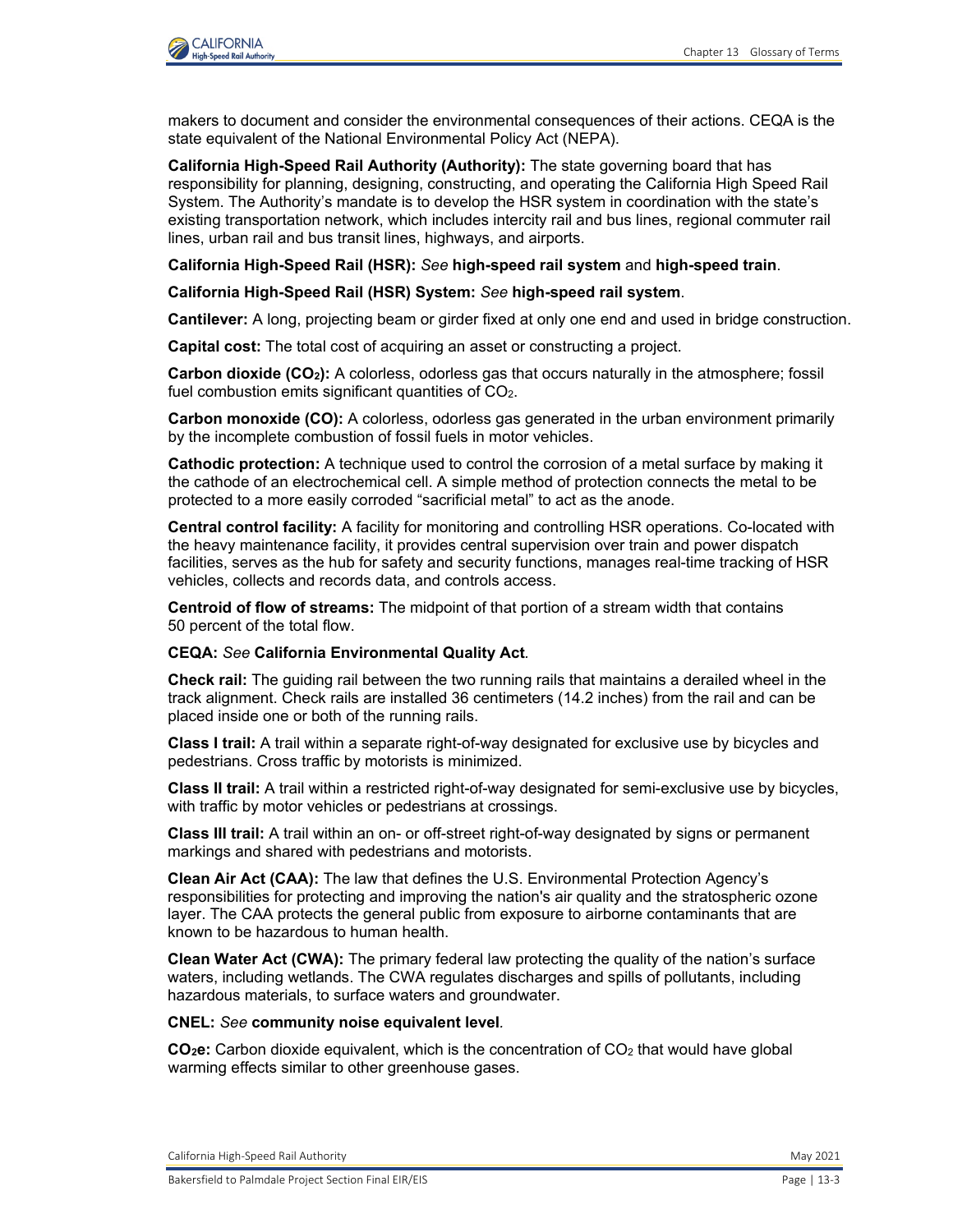

makers to document and consider the environmental consequences of their actions. CEQA is the state equivalent of the National Environmental Policy Act (NEPA).

**California High-Speed Rail Authority (Authority):** The state governing board that has responsibility for planning, designing, constructing, and operating the California High Speed Rail System. The Authority's mandate is to develop the HSR system in coordination with the state's existing transportation network, which includes intercity rail and bus lines, regional commuter rail lines, urban rail and bus transit lines, highways, and airports.

**California High-Speed Rail (HSR):** *See* **high-speed rail system** and **high-speed train**.

**California High-Speed Rail (HSR) System:** *See* **high-speed rail system**.

**Cantilever:** A long, projecting beam or girder fixed at only one end and used in bridge construction.

**Capital cost:** The total cost of acquiring an asset or constructing a project.

**Carbon dioxide (CO<sub>2</sub>):** A colorless, odorless gas that occurs naturally in the atmosphere; fossil fuel combustion emits significant quantities of CO<sub>2</sub>.

**Carbon monoxide (CO):** A colorless, odorless gas generated in the urban environment primarily by the incomplete combustion of fossil fuels in motor vehicles.

**Cathodic protection:** A technique used to control the corrosion of a metal surface by making it the cathode of an electrochemical cell. A simple method of protection connects the metal to be protected to a more easily corroded "sacrificial metal" to act as the anode.

**Central control facility:** A facility for monitoring and controlling HSR operations. Co-located with the heavy maintenance facility, it provides central supervision over train and power dispatch facilities, serves as the hub for safety and security functions, manages real-time tracking of HSR vehicles, collects and records data, and controls access.

**Centroid of flow of streams:** The midpoint of that portion of a stream width that contains 50 percent of the total flow.

#### **CEQA:** *See* **California Environmental Quality Act***.*

**Check rail:** The guiding rail between the two running rails that maintains a derailed wheel in the track alignment. Check rails are installed 36 centimeters (14.2 inches) from the rail and can be placed inside one or both of the running rails.

**Class I trail:** A trail within a separate right-of-way designated for exclusive use by bicycles and pedestrians. Cross traffic by motorists is minimized.

**Class II trail:** A trail within a restricted right-of-way designated for semi-exclusive use by bicycles, with traffic by motor vehicles or pedestrians at crossings.

**Class III trail:** A trail within an on- or off-street right-of-way designated by signs or permanent markings and shared with pedestrians and motorists.

**Clean Air Act (CAA):** The law that defines the U.S. Environmental Protection Agency's responsibilities for protecting and improving the nation's air quality and the stratospheric ozone layer. The CAA protects the general public from exposure to airborne contaminants that are known to be hazardous to human health.

**Clean Water Act (CWA):** The primary federal law protecting the quality of the nation's surface waters, including wetlands. The CWA regulates discharges and spills of pollutants, including hazardous materials, to surface waters and groundwater.

#### **CNEL:** *See* **community noise equivalent level***.*

**CO2e:** Carbon dioxide equivalent, which is the concentration of CO2 that would have global warming effects similar to other greenhouse gases.

California High-Speed Rail Authority **May 2021** 2021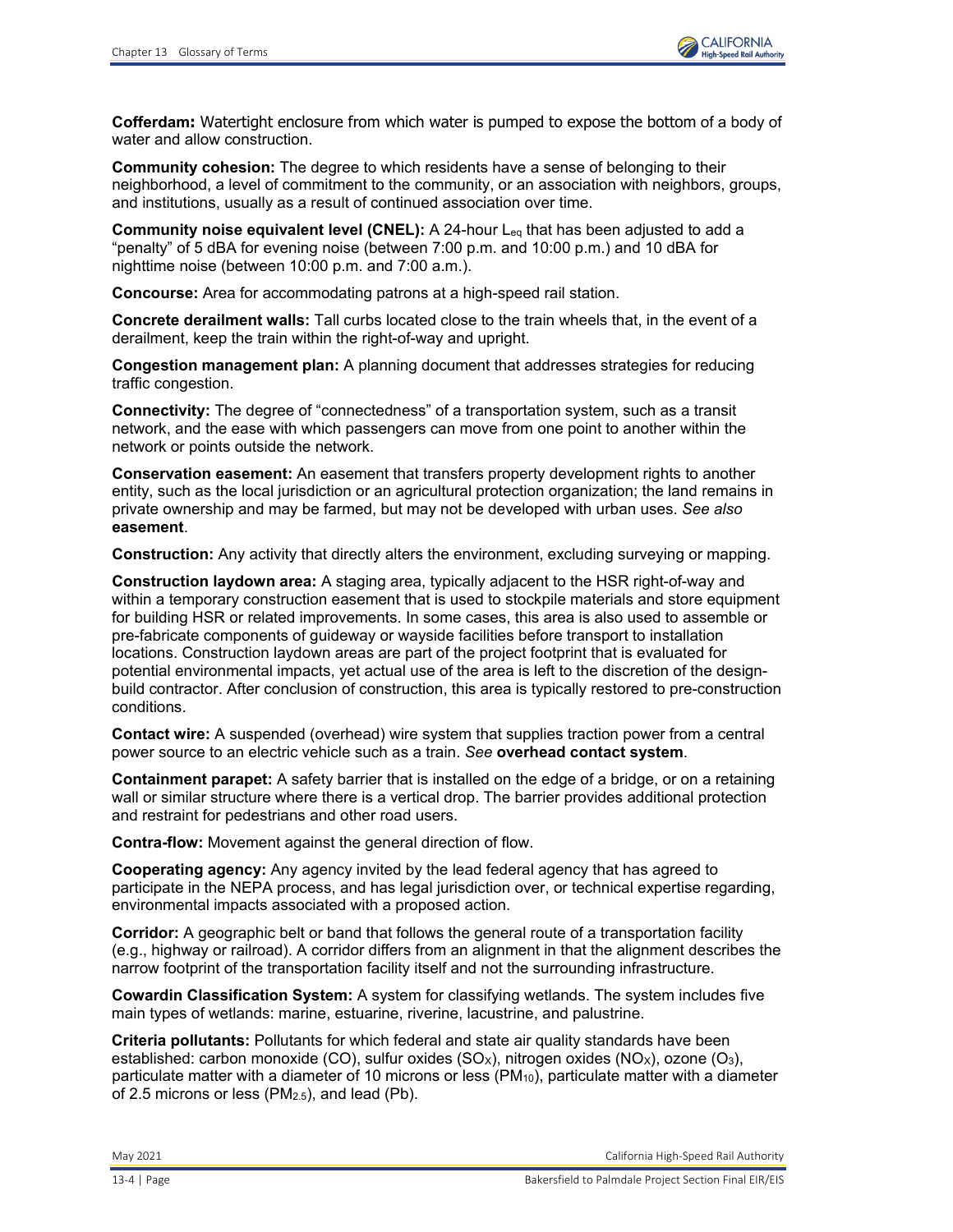**Cofferdam:** Watertight enclosure from which water is pumped to expose the bottom of a body of water and allow construction.

**Community cohesion:** The degree to which residents have a sense of belonging to their neighborhood, a level of commitment to the community, or an association with neighbors, groups, and institutions, usually as a result of continued association over time.

**Community noise equivalent level (CNEL):** A 24-hour Leq that has been adjusted to add a "penalty" of 5 dBA for evening noise (between 7:00 p.m. and 10:00 p.m.) and 10 dBA for nighttime noise (between 10:00 p.m. and 7:00 a.m.).

**Concourse:** Area for accommodating patrons at a high-speed rail station.

**Concrete derailment walls:** Tall curbs located close to the train wheels that, in the event of a derailment, keep the train within the right-of-way and upright.

**Congestion management plan:** A planning document that addresses strategies for reducing traffic congestion.

**Connectivity:** The degree of "connectedness" of a transportation system, such as a transit network, and the ease with which passengers can move from one point to another within the network or points outside the network.

**Conservation easement:** An easement that transfers property development rights to another entity, such as the local jurisdiction or an agricultural protection organization; the land remains in private ownership and may be farmed, but may not be developed with urban uses. *See also* **easement**.

**Construction:** Any activity that directly alters the environment, excluding surveying or mapping.

**Construction laydown area:** A staging area, typically adjacent to the HSR right-of-way and within a temporary construction easement that is used to stockpile materials and store equipment for building HSR or related improvements. In some cases, this area is also used to assemble or pre-fabricate components of guideway or wayside facilities before transport to installation locations. Construction laydown areas are part of the project footprint that is evaluated for potential environmental impacts, yet actual use of the area is left to the discretion of the designbuild contractor. After conclusion of construction, this area is typically restored to pre-construction conditions.

**Contact wire:** A suspended (overhead) wire system that supplies traction power from a central power source to an electric vehicle such as a train. *See* **overhead contact system**.

**Containment parapet:** A safety barrier that is installed on the edge of a bridge, or on a retaining wall or similar structure where there is a vertical drop. The barrier provides additional protection and restraint for pedestrians and other road users.

**Contra-flow:** Movement against the general direction of flow.

**Cooperating agency:** Any agency invited by the lead federal agency that has agreed to participate in the NEPA process, and has legal jurisdiction over, or technical expertise regarding, environmental impacts associated with a proposed action.

**Corridor:** A geographic belt or band that follows the general route of a transportation facility (e.g., highway or railroad). A corridor differs from an alignment in that the alignment describes the narrow footprint of the transportation facility itself and not the surrounding infrastructure.

**Cowardin Classification System:** A system for classifying wetlands. The system includes five main types of wetlands: marine, estuarine, riverine, lacustrine, and palustrine.

**Criteria pollutants:** Pollutants for which federal and state air quality standards have been established: carbon monoxide (CO), sulfur oxides (SO<sub>x</sub>), nitrogen oxides (NO<sub>x</sub>), ozone (O<sub>3</sub>), particulate matter with a diameter of 10 microns or less  $(PM_{10})$ , particulate matter with a diameter of 2.5 microns or less (PM<sub>2.5</sub>), and lead (Pb).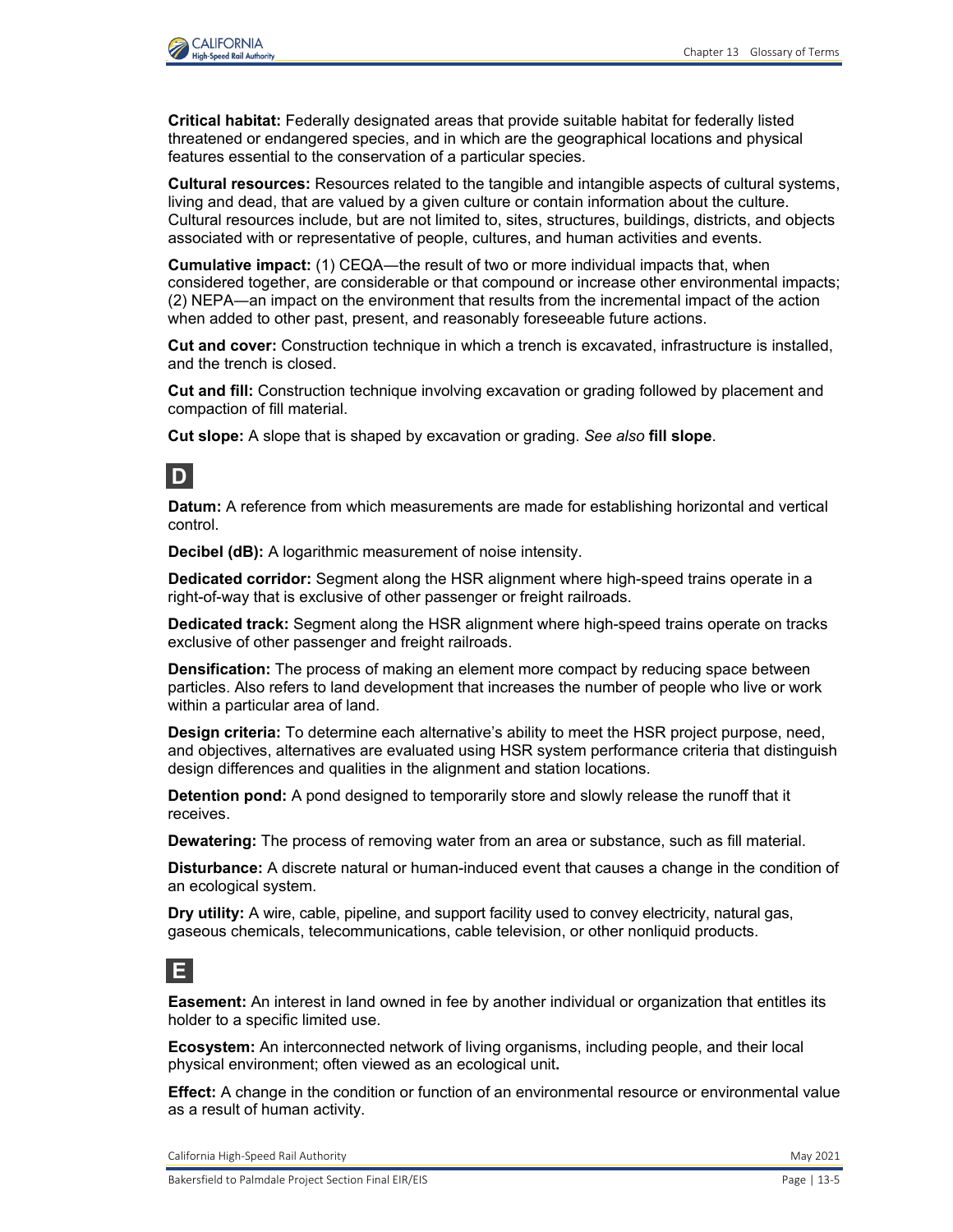

**Critical habitat:** Federally designated areas that provide suitable habitat for federally listed threatened or endangered species, and in which are the geographical locations and physical features essential to the conservation of a particular species.

**Cultural resources:** Resources related to the tangible and intangible aspects of cultural systems, living and dead, that are valued by a given culture or contain information about the culture. Cultural resources include, but are not limited to, sites, structures, buildings, districts, and objects associated with or representative of people, cultures, and human activities and events.

**Cumulative impact:** (1) CEQA―the result of two or more individual impacts that, when considered together, are considerable or that compound or increase other environmental impacts; (2) NEPA―an impact on the environment that results from the incremental impact of the action when added to other past, present, and reasonably foreseeable future actions.

**Cut and cover:** Construction technique in which a trench is excavated, infrastructure is installed, and the trench is closed.

**Cut and fill:** Construction technique involving excavation or grading followed by placement and compaction of fill material.

**Cut slope:** A slope that is shaped by excavation or grading. *See also* **fill slope**.

## **D**

**Datum:** A reference from which measurements are made for establishing horizontal and vertical control.

**Decibel (dB):** A logarithmic measurement of noise intensity.

**Dedicated corridor:** Segment along the HSR alignment where high-speed trains operate in a right-of-way that is exclusive of other passenger or freight railroads.

**Dedicated track:** Segment along the HSR alignment where high-speed trains operate on tracks exclusive of other passenger and freight railroads.

**Densification:** The process of making an element more compact by reducing space between particles. Also refers to land development that increases the number of people who live or work within a particular area of land.

**Design criteria:** To determine each alternative's ability to meet the HSR project purpose, need, and objectives, alternatives are evaluated using HSR system performance criteria that distinguish design differences and qualities in the alignment and station locations.

**Detention pond:** A pond designed to temporarily store and slowly release the runoff that it receives.

**Dewatering:** The process of removing water from an area or substance, such as fill material.

**Disturbance:** A discrete natural or human-induced event that causes a change in the condition of an ecological system.

**Dry utility:** A wire, cable, pipeline, and support facility used to convey electricity, natural gas, gaseous chemicals, telecommunications, cable television, or other nonliquid products.

## **E**

**Easement:** An interest in land owned in fee by another individual or organization that entitles its holder to a specific limited use.

**Ecosystem:** An interconnected network of living organisms, including people, and their local physical environment; often viewed as an ecological unit**.**

**Effect:** A change in the condition or function of an environmental resource or environmental value as a result of human activity.

California High-Speed Rail Authority May 2021 and Separate School and School and School and School and School and School and School and School and School and School and School and School and School and School and School an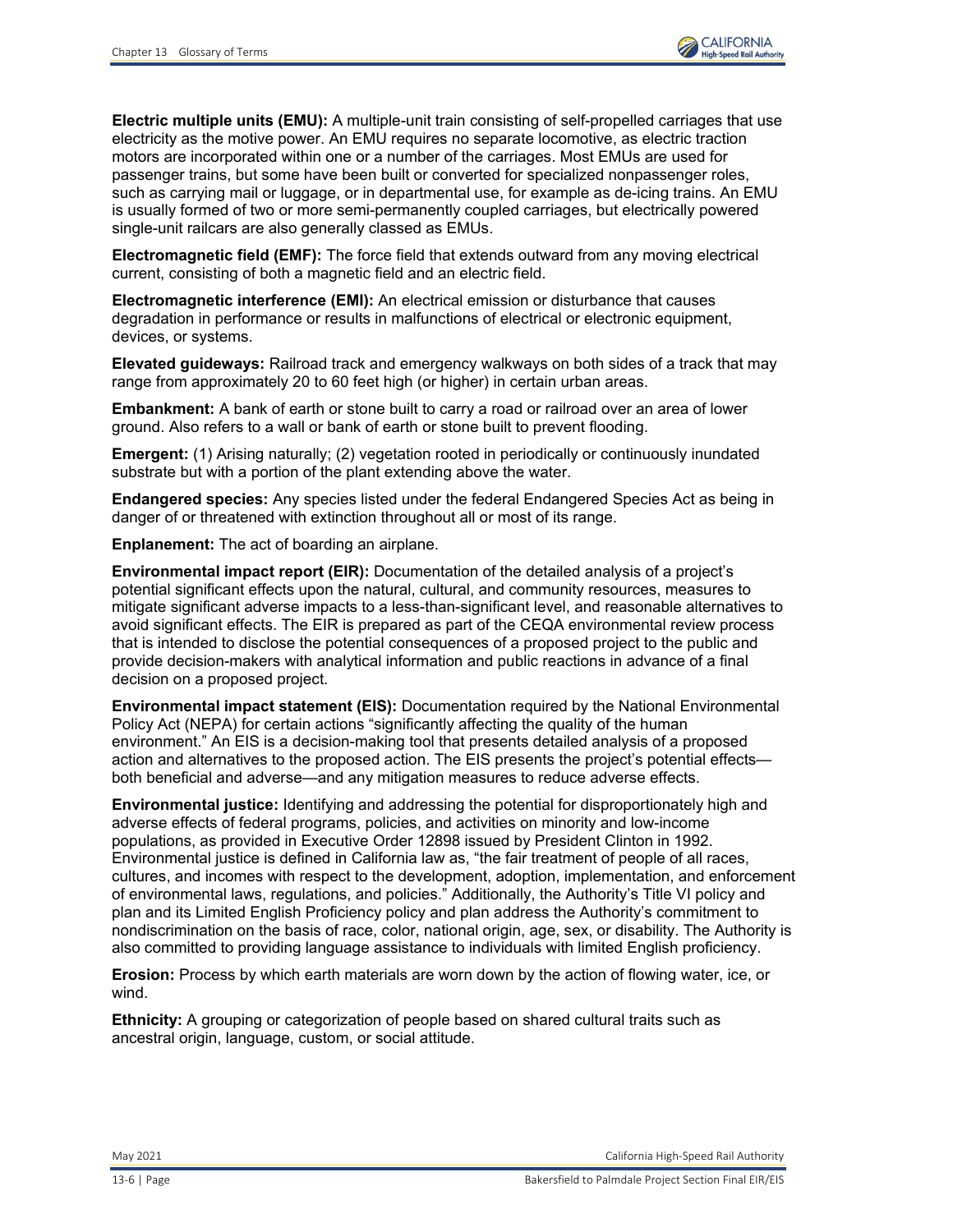**Electric multiple units (EMU):** A multiple-unit train consisting of self-propelled carriages that use electricity as the motive power. An EMU requires no separate locomotive, as electric traction motors are incorporated within one or a number of the carriages. Most EMUs are used for passenger trains, but some have been built or converted for specialized nonpassenger roles, such as carrying mail or luggage, or in departmental use, for example as de-icing trains. An EMU is usually formed of two or more semi-permanently coupled carriages, but electrically powered single-unit railcars are also generally classed as EMUs.

**Electromagnetic field (EMF):** The force field that extends outward from any moving electrical current, consisting of both a magnetic field and an electric field.

**Electromagnetic interference (EMI):** An electrical emission or disturbance that causes degradation in performance or results in malfunctions of electrical or electronic equipment, devices, or systems.

**Elevated guideways:** Railroad track and emergency walkways on both sides of a track that may range from approximately 20 to 60 feet high (or higher) in certain urban areas.

**Embankment:** A bank of earth or stone built to carry a road or railroad over an area of lower ground. Also refers to a wall or bank of earth or stone built to prevent flooding.

**Emergent:** (1) Arising naturally; (2) vegetation rooted in periodically or continuously inundated substrate but with a portion of the plant extending above the water.

**Endangered species:** Any species listed under the federal Endangered Species Act as being in danger of or threatened with extinction throughout all or most of its range.

**Enplanement:** The act of boarding an airplane.

**Environmental impact report (EIR):** Documentation of the detailed analysis of a project's potential significant effects upon the natural, cultural, and community resources, measures to mitigate significant adverse impacts to a less-than-significant level, and reasonable alternatives to avoid significant effects. The EIR is prepared as part of the CEQA environmental review process that is intended to disclose the potential consequences of a proposed project to the public and provide decision-makers with analytical information and public reactions in advance of a final decision on a proposed project.

**Environmental impact statement (EIS):** Documentation required by the National Environmental Policy Act (NEPA) for certain actions "significantly affecting the quality of the human environment." An EIS is a decision-making tool that presents detailed analysis of a proposed action and alternatives to the proposed action. The EIS presents the project's potential effects both beneficial and adverse—and any mitigation measures to reduce adverse effects.

**Environmental justice:** Identifying and addressing the potential for disproportionately high and adverse effects of federal programs, policies, and activities on minority and low-income populations, as provided in Executive Order 12898 issued by President Clinton in 1992. Environmental justice is defined in California law as, "the fair treatment of people of all races, cultures, and incomes with respect to the development, adoption, implementation, and enforcement of environmental laws, regulations, and policies." Additionally, the Authority's Title VI policy and plan and its Limited English Proficiency policy and plan address the Authority's commitment to nondiscrimination on the basis of race, color, national origin, age, sex, or disability. The Authority is also committed to providing language assistance to individuals with limited English proficiency.

**Erosion:** Process by which earth materials are worn down by the action of flowing water, ice, or wind.

**Ethnicity:** A grouping or categorization of people based on shared cultural traits such as ancestral origin, language, custom, or social attitude.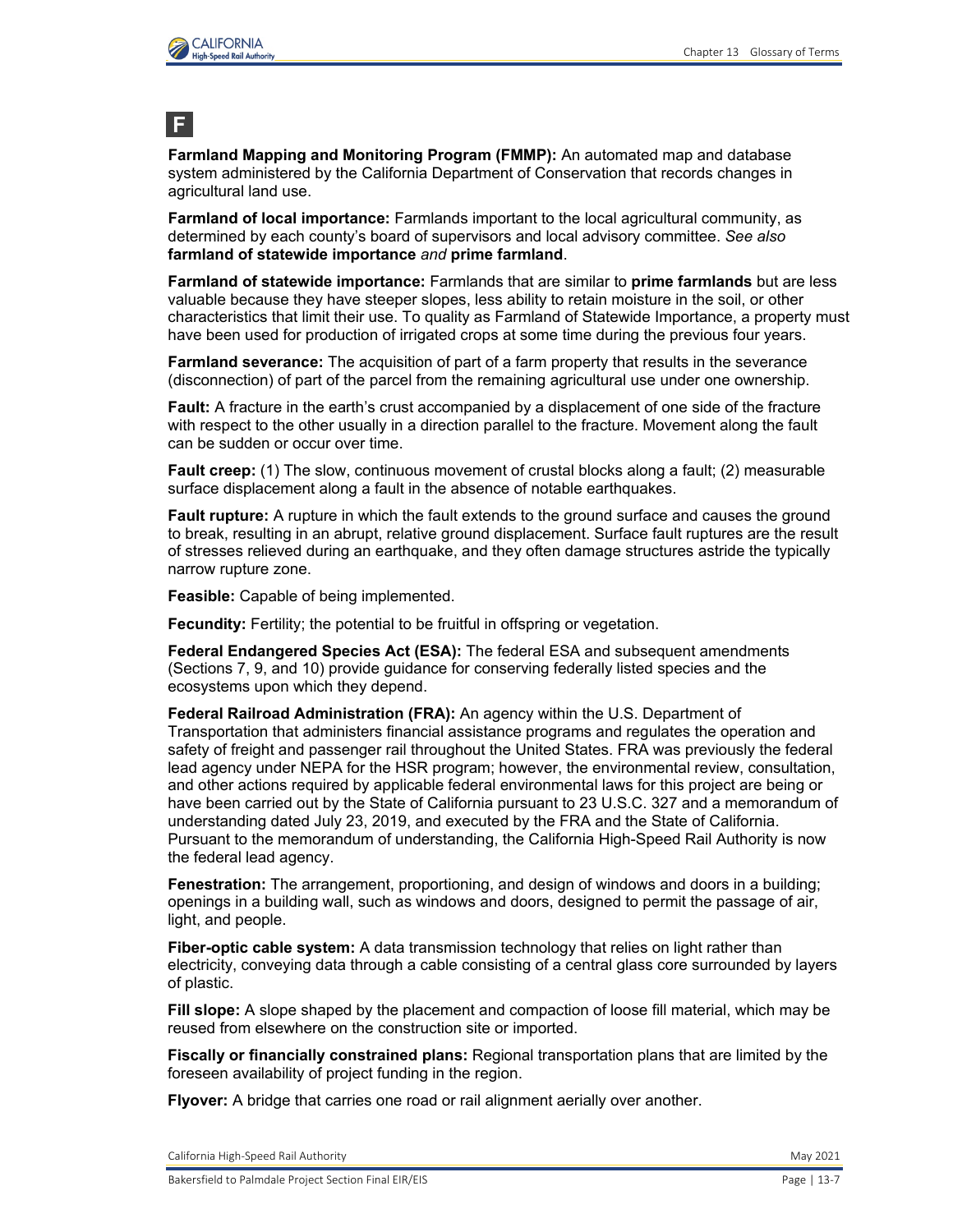

# **F**

**Farmland Mapping and Monitoring Program (FMMP):** An automated map and database system administered by the California Department of Conservation that records changes in agricultural land use.

**Farmland of local importance:** Farmlands important to the local agricultural community, as determined by each county's board of supervisors and local advisory committee. *See also*  **farmland of statewide importance** *and* **prime farmland**.

**Farmland of statewide importance:** Farmlands that are similar to **prime farmlands** but are less valuable because they have steeper slopes, less ability to retain moisture in the soil, or other characteristics that limit their use. To quality as Farmland of Statewide Importance, a property must have been used for production of irrigated crops at some time during the previous four years.

**Farmland severance:** The acquisition of part of a farm property that results in the severance (disconnection) of part of the parcel from the remaining agricultural use under one ownership.

**Fault:** A fracture in the earth's crust accompanied by a displacement of one side of the fracture with respect to the other usually in a direction parallel to the fracture. Movement along the fault can be sudden or occur over time.

**Fault creep:** (1) The slow, continuous movement of crustal blocks along a fault; (2) measurable surface displacement along a fault in the absence of notable earthquakes.

**Fault rupture:** A rupture in which the fault extends to the ground surface and causes the ground to break, resulting in an abrupt, relative ground displacement. Surface fault ruptures are the result of stresses relieved during an earthquake, and they often damage structures astride the typically narrow rupture zone.

**Feasible:** Capable of being implemented.

**Fecundity:** Fertility; the potential to be fruitful in offspring or vegetation.

**Federal Endangered Species Act (ESA):** The federal ESA and subsequent amendments (Sections 7, 9, and 10) provide guidance for conserving federally listed species and the ecosystems upon which they depend.

**Federal Railroad Administration (FRA):** An agency within the U.S. Department of Transportation that administers financial assistance programs and regulates the operation and safety of freight and passenger rail throughout the United States. FRA was previously the federal lead agency under NEPA for the HSR program; however, the environmental review, consultation, and other actions required by applicable federal environmental laws for this project are being or have been carried out by the State of California pursuant to 23 U.S.C. 327 and a memorandum of understanding dated July 23, 2019, and executed by the FRA and the State of California. Pursuant to the memorandum of understanding, the California High-Speed Rail Authority is now the federal lead agency.

**Fenestration:** The arrangement, proportioning, and design of windows and doors in a building; openings in a building wall, such as windows and doors, designed to permit the passage of air, light, and people.

**Fiber-optic cable system:** A data transmission technology that relies on light rather than electricity, conveying data through a cable consisting of a central glass core surrounded by layers of plastic.

**Fill slope:** A slope shaped by the placement and compaction of loose fill material, which may be reused from elsewhere on the construction site or imported.

**Fiscally or financially constrained plans:** Regional transportation plans that are limited by the foreseen availability of project funding in the region.

**Flyover:** A bridge that carries one road or rail alignment aerially over another.

California High-Speed Rail Authority **May 2021** 2021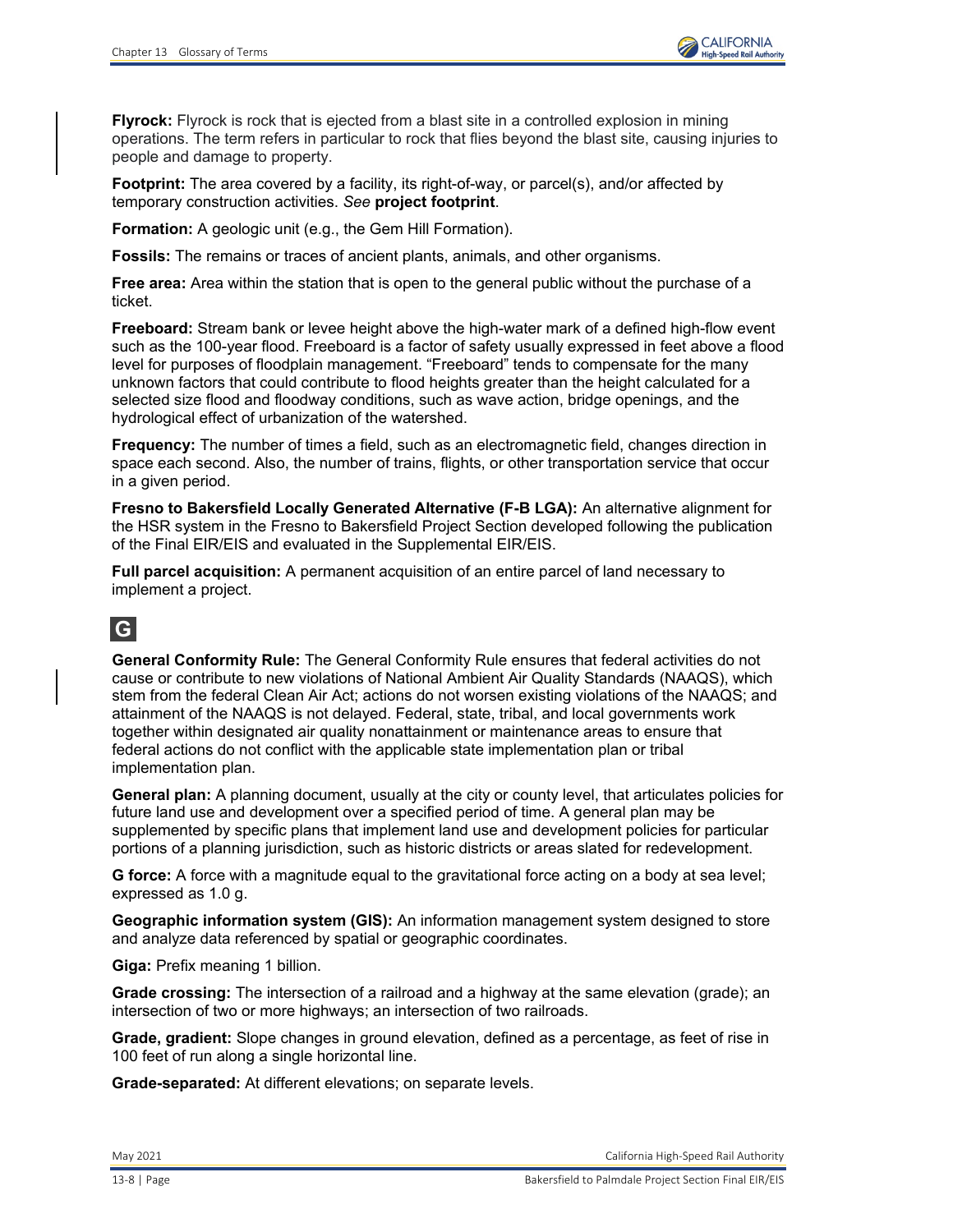

**Flyrock:** Flyrock is rock that is ejected from a blast site in a controlled explosion in mining operations. The term refers in particular to rock that flies beyond the blast site, causing injuries to people and damage to property.

**Footprint:** The area covered by a facility, its right-of-way, or parcel(s), and/or affected by temporary construction activities. *See* **project footprint**.

**Formation:** A geologic unit (e.g., the Gem Hill Formation).

**Fossils:** The remains or traces of ancient plants, animals, and other organisms.

**Free area:** Area within the station that is open to the general public without the purchase of a ticket.

**Freeboard:** Stream bank or levee height above the high-water mark of a defined high-flow event such as the 100-year flood. Freeboard is a factor of safety usually expressed in feet above a flood level for purposes of floodplain management. "Freeboard" tends to compensate for the many unknown factors that could contribute to flood heights greater than the height calculated for a selected size flood and floodway conditions, such as wave action, bridge openings, and the hydrological effect of urbanization of the watershed.

**Frequency:** The number of times a field, such as an electromagnetic field, changes direction in space each second. Also, the number of trains, flights, or other transportation service that occur in a given period.

**Fresno to Bakersfield Locally Generated Alternative (F-B LGA):** An alternative alignment for the HSR system in the Fresno to Bakersfield Project Section developed following the publication of the Final EIR/EIS and evaluated in the Supplemental EIR/EIS.

**Full parcel acquisition:** A permanent acquisition of an entire parcel of land necessary to implement a project.

## **G**

**General Conformity Rule:** The General Conformity Rule ensures that federal activities do not cause or contribute to new violations of National Ambient Air Quality Standards (NAAQS), which stem from the federal Clean Air Act; actions do not worsen existing violations of the NAAQS; and attainment of the NAAQS is not delayed. Federal, state, tribal, and local governments work together within designated air quality nonattainment or maintenance areas to ensure that federal actions do not conflict with the applicable state implementation plan or tribal implementation plan.

**General plan:** A planning document, usually at the city or county level, that articulates policies for future land use and development over a specified period of time. A general plan may be supplemented by specific plans that implement land use and development policies for particular portions of a planning jurisdiction, such as historic districts or areas slated for redevelopment.

**G force:** A force with a magnitude equal to the gravitational force acting on a body at sea level; expressed as 1.0 g.

**Geographic information system (GIS):** An information management system designed to store and analyze data referenced by spatial or geographic coordinates.

**Giga:** Prefix meaning 1 billion.

**Grade crossing:** The intersection of a railroad and a highway at the same elevation (grade); an intersection of two or more highways; an intersection of two railroads.

**Grade, gradient:** Slope changes in ground elevation, defined as a percentage, as feet of rise in 100 feet of run along a single horizontal line.

**Grade-separated:** At different elevations; on separate levels.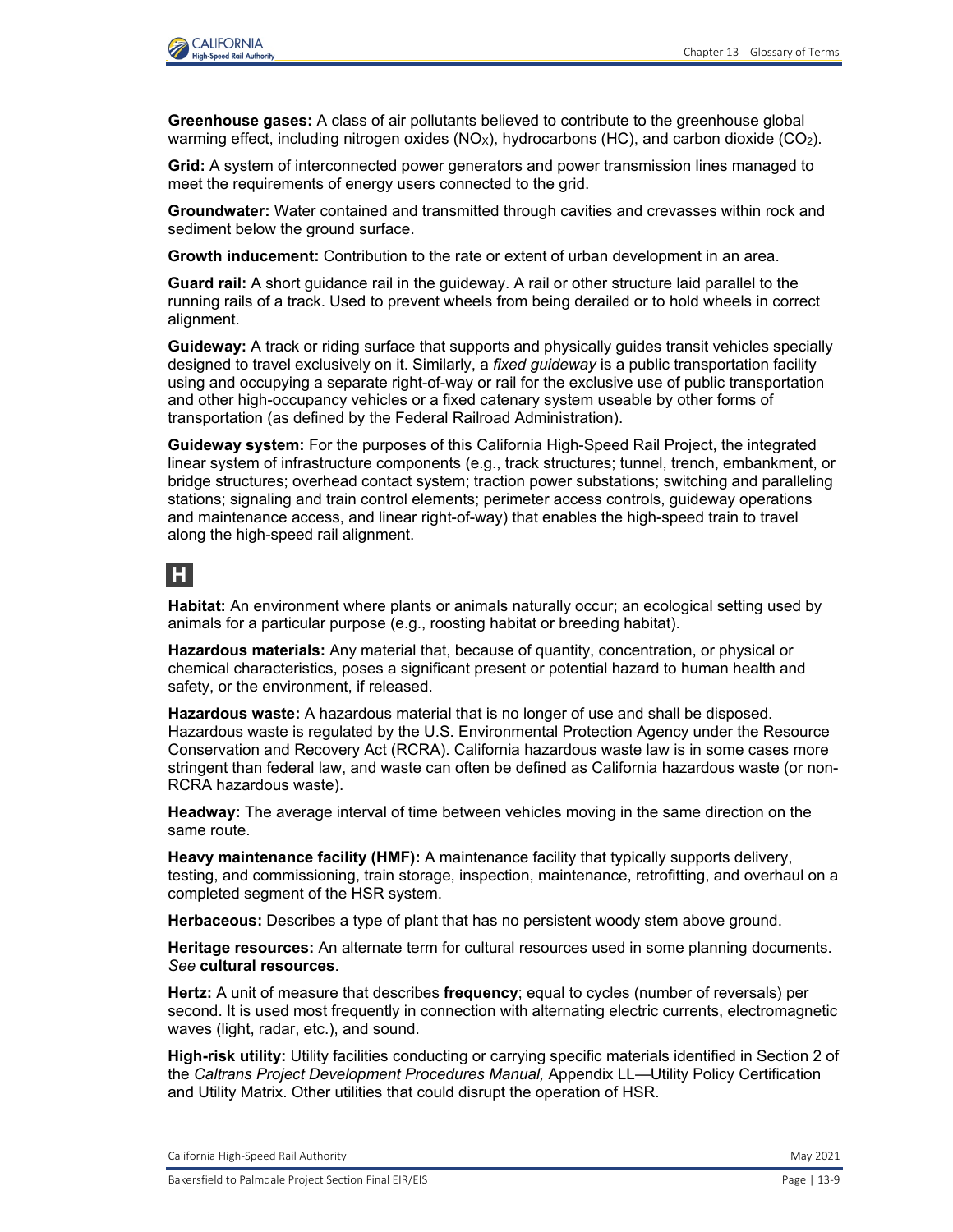

**Greenhouse gases:** A class of air pollutants believed to contribute to the greenhouse global warming effect, including nitrogen oxides  $(NQ_x)$ , hydrocarbons  $(HC)$ , and carbon dioxide  $(CQ_2)$ .

**Grid:** A system of interconnected power generators and power transmission lines managed to meet the requirements of energy users connected to the grid.

**Groundwater:** Water contained and transmitted through cavities and crevasses within rock and sediment below the ground surface.

**Growth inducement:** Contribution to the rate or extent of urban development in an area.

**Guard rail:** A short guidance rail in the guideway. A rail or other structure laid parallel to the running rails of a track. Used to prevent wheels from being derailed or to hold wheels in correct alignment.

**Guideway:** A track or riding surface that supports and physically guides transit vehicles specially designed to travel exclusively on it. Similarly, a *fixed guideway* is a public transportation facility using and occupying a separate right-of-way or rail for the exclusive use of public transportation and other high-occupancy vehicles or a fixed catenary system useable by other forms of transportation (as defined by the Federal Railroad Administration).

**Guideway system:** For the purposes of this California High-Speed Rail Project, the integrated linear system of infrastructure components (e.g., track structures; tunnel, trench, embankment, or bridge structures; overhead contact system; traction power substations; switching and paralleling stations; signaling and train control elements; perimeter access controls, guideway operations and maintenance access, and linear right-of-way) that enables the high-speed train to travel along the high-speed rail alignment.

### **H**

**Habitat:** An environment where plants or animals naturally occur; an ecological setting used by animals for a particular purpose (e.g., roosting habitat or breeding habitat).

**Hazardous materials:** Any material that, because of quantity, concentration, or physical or chemical characteristics, poses a significant present or potential hazard to human health and safety, or the environment, if released.

**Hazardous waste:** A hazardous material that is no longer of use and shall be disposed. Hazardous waste is regulated by the U.S. Environmental Protection Agency under the Resource Conservation and Recovery Act (RCRA). California hazardous waste law is in some cases more stringent than federal law, and waste can often be defined as California hazardous waste (or non-RCRA hazardous waste).

**Headway:** The average interval of time between vehicles moving in the same direction on the same route.

**Heavy maintenance facility (HMF):** A maintenance facility that typically supports delivery, testing, and commissioning, train storage, inspection, maintenance, retrofitting, and overhaul on a completed segment of the HSR system.

**Herbaceous:** Describes a type of plant that has no persistent woody stem above ground.

**Heritage resources:** An alternate term for cultural resources used in some planning documents. *See* **cultural resources**.

**Hertz:** A unit of measure that describes **frequency**; equal to cycles (number of reversals) per second. It is used most frequently in connection with alternating electric currents, electromagnetic waves (light, radar, etc.), and sound.

**High-risk utility:** Utility facilities conducting or carrying specific materials identified in Section 2 of the *Caltrans Project Development Procedures Manual,* Appendix LL—Utility Policy Certification and Utility Matrix. Other utilities that could disrupt the operation of HSR.

California High-Speed Rail Authority **May 2021** 2021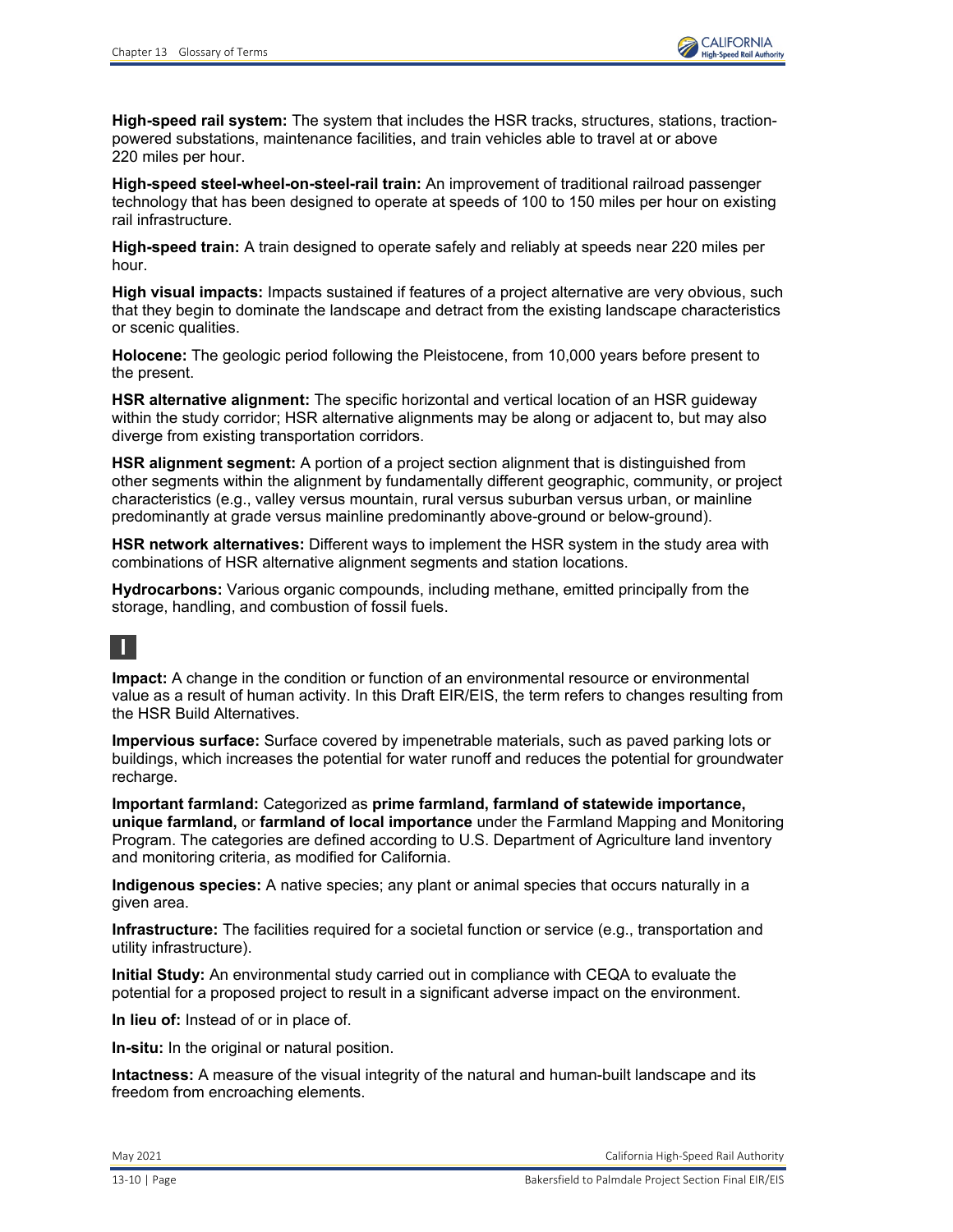**High-speed rail system:** The system that includes the HSR tracks, structures, stations, tractionpowered substations, maintenance facilities, and train vehicles able to travel at or above 220 miles per hour.

**High-speed steel-wheel-on-steel-rail train:** An improvement of traditional railroad passenger technology that has been designed to operate at speeds of 100 to 150 miles per hour on existing rail infrastructure.

**High-speed train:** A train designed to operate safely and reliably at speeds near 220 miles per hour.

**High visual impacts:** Impacts sustained if features of a project alternative are very obvious, such that they begin to dominate the landscape and detract from the existing landscape characteristics or scenic qualities.

**Holocene:** The geologic period following the Pleistocene, from 10,000 years before present to the present.

**HSR alternative alignment:** The specific horizontal and vertical location of an HSR guideway within the study corridor; HSR alternative alignments may be along or adjacent to, but may also diverge from existing transportation corridors.

**HSR alignment segment:** A portion of a project section alignment that is distinguished from other segments within the alignment by fundamentally different geographic, community, or project characteristics (e.g., valley versus mountain, rural versus suburban versus urban, or mainline predominantly at grade versus mainline predominantly above-ground or below-ground).

**HSR network alternatives:** Different ways to implement the HSR system in the study area with combinations of HSR alternative alignment segments and station locations.

**Hydrocarbons:** Various organic compounds, including methane, emitted principally from the storage, handling, and combustion of fossil fuels.

## **I**

**Impact:** A change in the condition or function of an environmental resource or environmental value as a result of human activity. In this Draft EIR/EIS, the term refers to changes resulting from the HSR Build Alternatives.

**Impervious surface:** Surface covered by impenetrable materials, such as paved parking lots or buildings, which increases the potential for water runoff and reduces the potential for groundwater recharge.

**Important farmland:** Categorized as **prime farmland, farmland of statewide importance, unique farmland,** or **farmland of local importance** under the Farmland Mapping and Monitoring Program. The categories are defined according to U.S. Department of Agriculture land inventory and monitoring criteria, as modified for California.

**Indigenous species:** A native species; any plant or animal species that occurs naturally in a given area.

**Infrastructure:** The facilities required for a societal function or service (e.g., transportation and utility infrastructure).

**Initial Study:** An environmental study carried out in compliance with CEQA to evaluate the potential for a proposed project to result in a significant adverse impact on the environment.

**In lieu of:** Instead of or in place of.

**In-situ:** In the original or natural position.

**Intactness:** A measure of the visual integrity of the natural and human-built landscape and its freedom from encroaching elements.

May 2021 California High-Speed Rail Authority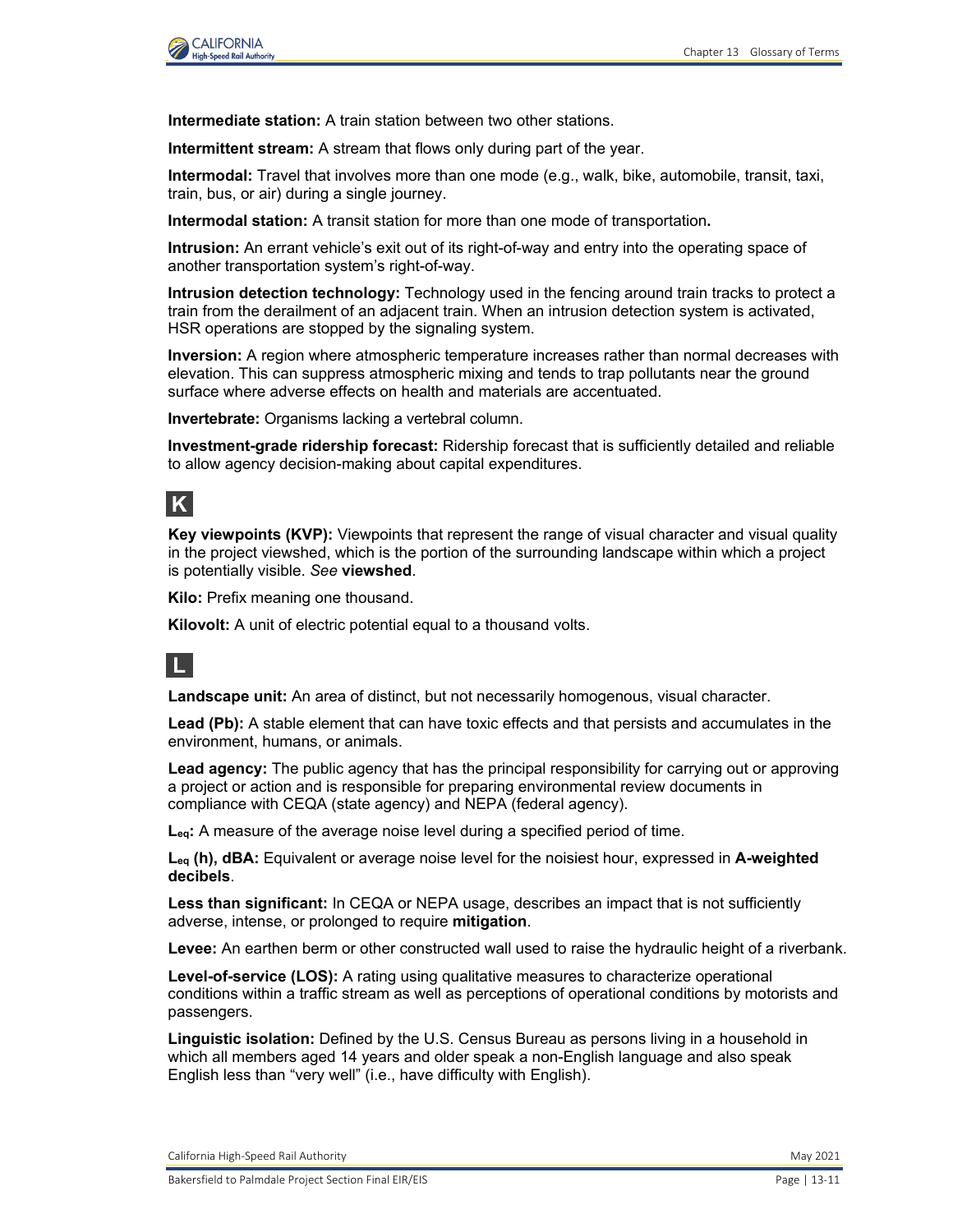

**Intermediate station:** A train station between two other stations.

**Intermittent stream:** A stream that flows only during part of the year.

**Intermodal:** Travel that involves more than one mode (e.g., walk, bike, automobile, transit, taxi, train, bus, or air) during a single journey.

**Intermodal station:** A transit station for more than one mode of transportation**.**

**Intrusion:** An errant vehicle's exit out of its right-of-way and entry into the operating space of another transportation system's right-of-way.

**Intrusion detection technology:** Technology used in the fencing around train tracks to protect a train from the derailment of an adjacent train. When an intrusion detection system is activated, HSR operations are stopped by the signaling system.

**Inversion:** A region where atmospheric temperature increases rather than normal decreases with elevation. This can suppress atmospheric mixing and tends to trap pollutants near the ground surface where adverse effects on health and materials are accentuated.

**Invertebrate:** Organisms lacking a vertebral column.

**Investment-grade ridership forecast:** Ridership forecast that is sufficiently detailed and reliable to allow agency decision-making about capital expenditures.

# **K**

**Key viewpoints (KVP):** Viewpoints that represent the range of visual character and visual quality in the project viewshed, which is the portion of the surrounding landscape within which a project is potentially visible. *See* **viewshed**.

**Kilo:** Prefix meaning one thousand.

**Kilovolt:** A unit of electric potential equal to a thousand volts.



**Landscape unit:** An area of distinct, but not necessarily homogenous, visual character.

**Lead (Pb):** A stable element that can have toxic effects and that persists and accumulates in the environment, humans, or animals.

**Lead agency:** The public agency that has the principal responsibility for carrying out or approving a project or action and is responsible for preparing environmental review documents in compliance with CEQA (state agency) and NEPA (federal agency).

**Leq:** A measure of the average noise level during a specified period of time.

**Leq (h), dBA:** Equivalent or average noise level for the noisiest hour, expressed in **A-weighted decibels**.

**Less than significant:** In CEQA or NEPA usage, describes an impact that is not sufficiently adverse, intense, or prolonged to require **mitigation**.

**Levee:** An earthen berm or other constructed wall used to raise the hydraulic height of a riverbank.

**Level-of-service (LOS):** A rating using qualitative measures to characterize operational conditions within a traffic stream as well as perceptions of operational conditions by motorists and passengers.

**Linguistic isolation:** Defined by the U.S. Census Bureau as persons living in a household in which all members aged 14 years and older speak a non-English language and also speak English less than "very well" (i.e., have difficulty with English).

California High-Speed Rail Authority May 2021 and Separation California High-Speed Rail Authority May 2021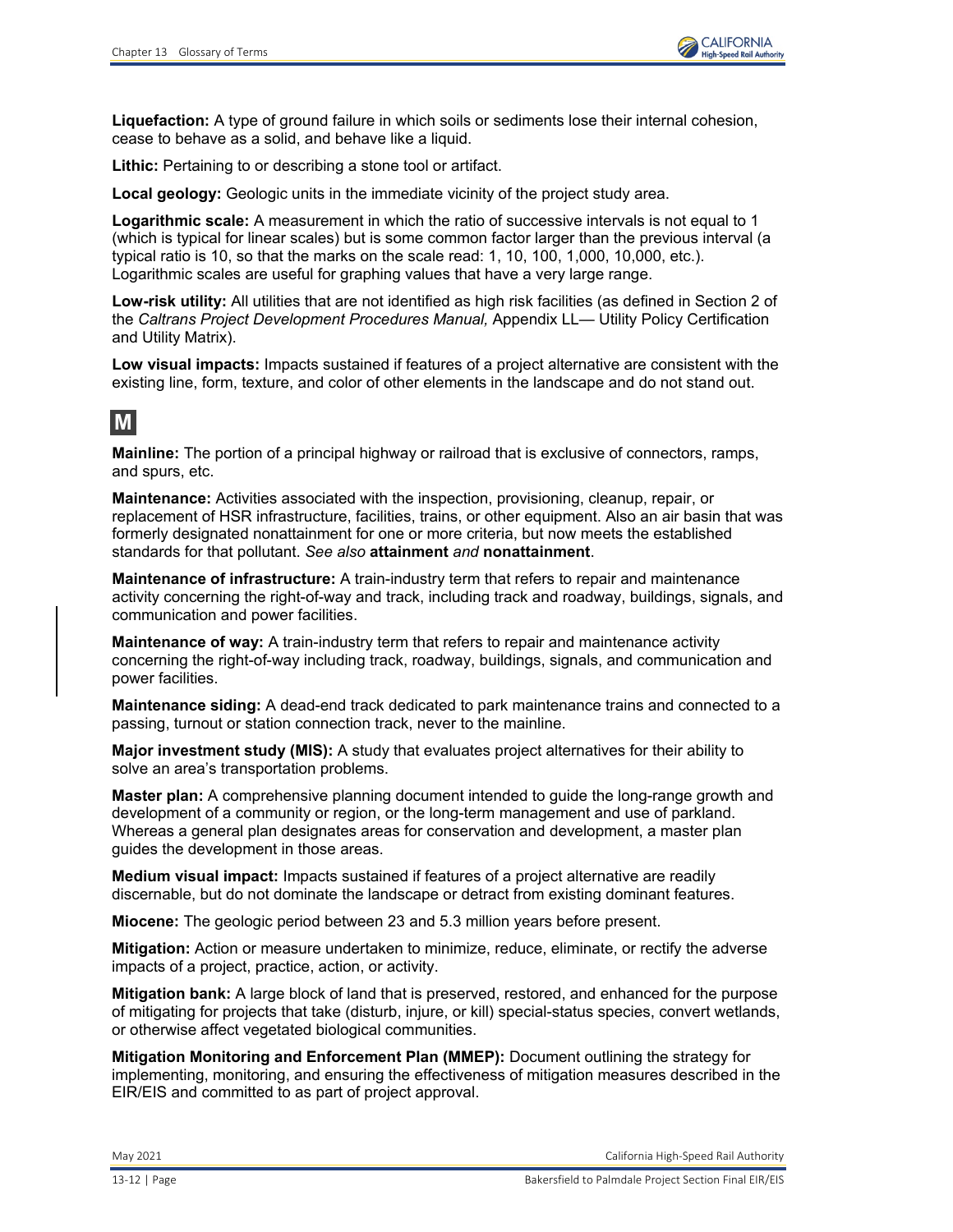

**Liquefaction:** A type of ground failure in which soils or sediments lose their internal cohesion, cease to behave as a solid, and behave like a liquid.

**Lithic:** Pertaining to or describing a stone tool or artifact.

**Local geology:** Geologic units in the immediate vicinity of the project study area.

**Logarithmic scale:** A measurement in which the ratio of successive intervals is not equal to 1 (which is typical for linear scales) but is some common factor larger than the previous interval (a typical ratio is 10, so that the marks on the scale read: 1, 10, 100, 1,000, 10,000, etc.). Logarithmic scales are useful for graphing values that have a very large range.

**Low-risk utility:** All utilities that are not identified as high risk facilities (as defined in Section 2 of the *Caltrans Project Development Procedures Manual,* Appendix LL— Utility Policy Certification and Utility Matrix).

**Low visual impacts:** Impacts sustained if features of a project alternative are consistent with the existing line, form, texture, and color of other elements in the landscape and do not stand out.

## **M**

**Mainline:** The portion of a principal highway or railroad that is exclusive of connectors, ramps, and spurs, etc.

**Maintenance:** Activities associated with the inspection, provisioning, cleanup, repair, or replacement of HSR infrastructure, facilities, trains, or other equipment. Also an air basin that was formerly designated nonattainment for one or more criteria, but now meets the established standards for that pollutant. *See also* **attainment** *and* **nonattainment**.

**Maintenance of infrastructure:** A train-industry term that refers to repair and maintenance activity concerning the right-of-way and track, including track and roadway, buildings, signals, and communication and power facilities.

**Maintenance of way:** A train-industry term that refers to repair and maintenance activity concerning the right-of-way including track, roadway, buildings, signals, and communication and power facilities.

**Maintenance siding:** A dead-end track dedicated to park maintenance trains and connected to a passing, turnout or station connection track, never to the mainline.

**Major investment study (MIS):** A study that evaluates project alternatives for their ability to solve an area's transportation problems.

**Master plan:** A comprehensive planning document intended to guide the long-range growth and development of a community or region, or the long-term management and use of parkland. Whereas a general plan designates areas for conservation and development, a master plan guides the development in those areas.

**Medium visual impact:** Impacts sustained if features of a project alternative are readily discernable, but do not dominate the landscape or detract from existing dominant features.

**Miocene:** The geologic period between 23 and 5.3 million years before present.

**Mitigation:** Action or measure undertaken to minimize, reduce, eliminate, or rectify the adverse impacts of a project, practice, action, or activity.

**Mitigation bank:** A large block of land that is preserved, restored, and enhanced for the purpose of mitigating for projects that take (disturb, injure, or kill) special-status species, convert wetlands, or otherwise affect vegetated biological communities.

**Mitigation Monitoring and Enforcement Plan (MMEP):** Document outlining the strategy for implementing, monitoring, and ensuring the effectiveness of mitigation measures described in the EIR/EIS and committed to as part of project approval.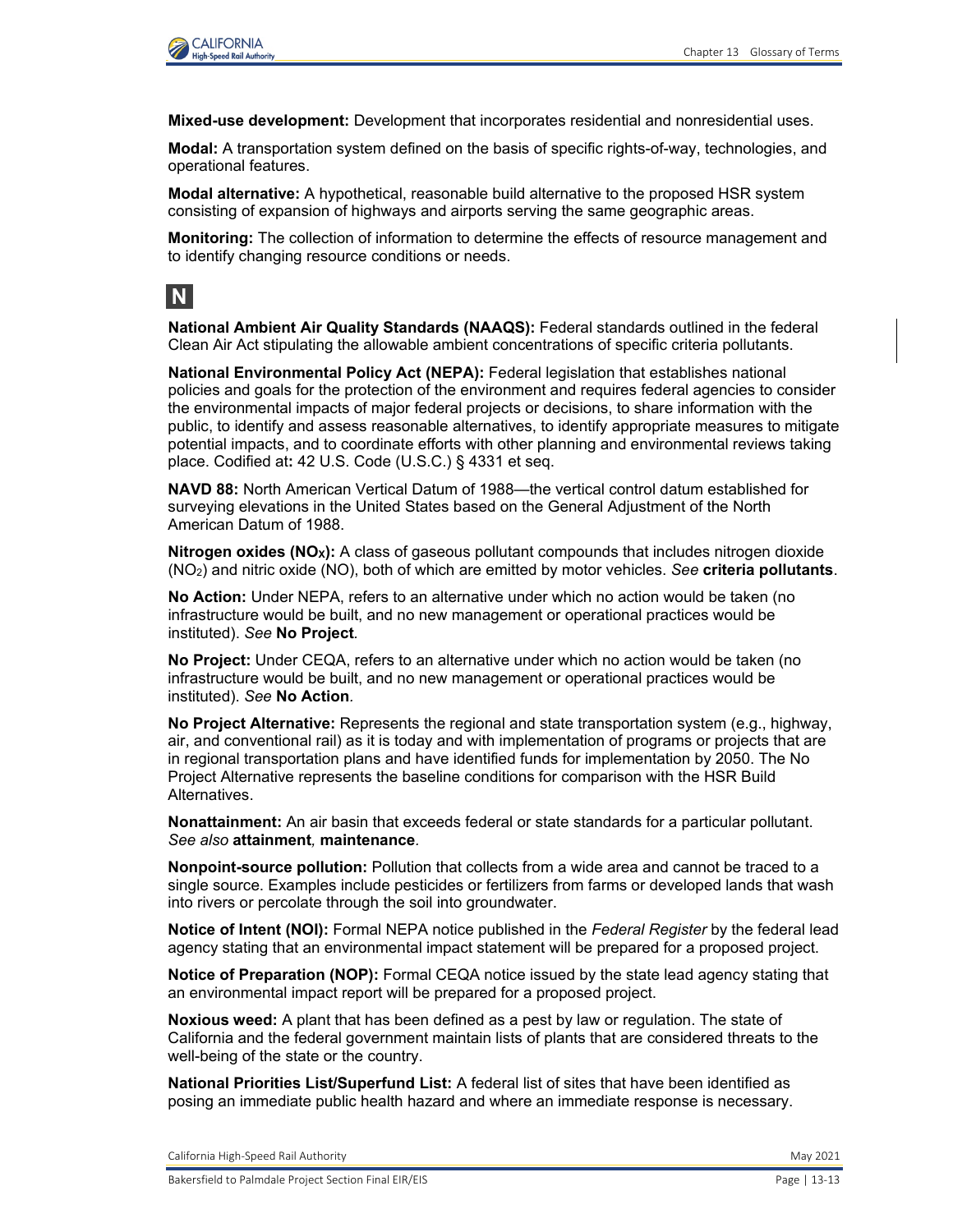

**Mixed-use development:** Development that incorporates residential and nonresidential uses.

**Modal:** A transportation system defined on the basis of specific rights-of-way, technologies, and operational features.

**Modal alternative:** A hypothetical, reasonable build alternative to the proposed HSR system consisting of expansion of highways and airports serving the same geographic areas.

**Monitoring:** The collection of information to determine the effects of resource management and to identify changing resource conditions or needs.



**National Ambient Air Quality Standards (NAAQS):** Federal standards outlined in the federal Clean Air Act stipulating the allowable ambient concentrations of specific criteria pollutants.

**National Environmental Policy Act (NEPA):** Federal legislation that establishes national policies and goals for the protection of the environment and requires federal agencies to consider the environmental impacts of major federal projects or decisions, to share information with the public, to identify and assess reasonable alternatives, to identify appropriate measures to mitigate potential impacts, and to coordinate efforts with other planning and environmental reviews taking place. Codified at**:** 42 U.S. Code (U.S.C.) § 4331 et seq.

**NAVD 88:** North American Vertical Datum of 1988—the vertical control datum established for surveying elevations in the United States based on the General Adjustment of the North American Datum of 1988.

**Nitrogen oxides (NO<sub>x</sub>):** A class of gaseous pollutant compounds that includes nitrogen dioxide (NO2) and nitric oxide (NO), both of which are emitted by motor vehicles. *See* **criteria pollutants**.

**No Action:** Under NEPA, refers to an alternative under which no action would be taken (no infrastructure would be built, and no new management or operational practices would be instituted). *See* **No Project***.*

**No Project:** Under CEQA, refers to an alternative under which no action would be taken (no infrastructure would be built, and no new management or operational practices would be instituted). *See* **No Action***.*

**No Project Alternative:** Represents the regional and state transportation system (e.g., highway, air, and conventional rail) as it is today and with implementation of programs or projects that are in regional transportation plans and have identified funds for implementation by 2050. The No Project Alternative represents the baseline conditions for comparison with the HSR Build Alternatives.

**Nonattainment:** An air basin that exceeds federal or state standards for a particular pollutant. *See also* **attainment***,* **maintenance***.* 

**Nonpoint-source pollution:** Pollution that collects from a wide area and cannot be traced to a single source. Examples include pesticides or fertilizers from farms or developed lands that wash into rivers or percolate through the soil into groundwater.

**Notice of Intent (NOI):** Formal NEPA notice published in the *Federal Register* by the federal lead agency stating that an environmental impact statement will be prepared for a proposed project.

**Notice of Preparation (NOP):** Formal CEQA notice issued by the state lead agency stating that an environmental impact report will be prepared for a proposed project.

**Noxious weed:** A plant that has been defined as a pest by law or regulation. The state of California and the federal government maintain lists of plants that are considered threats to the well-being of the state or the country.

**National Priorities List/Superfund List:** A federal list of sites that have been identified as posing an immediate public health hazard and where an immediate response is necessary.

California High-Speed Rail Authority May 2021 and Separation California High-Speed Rail Authority May 2021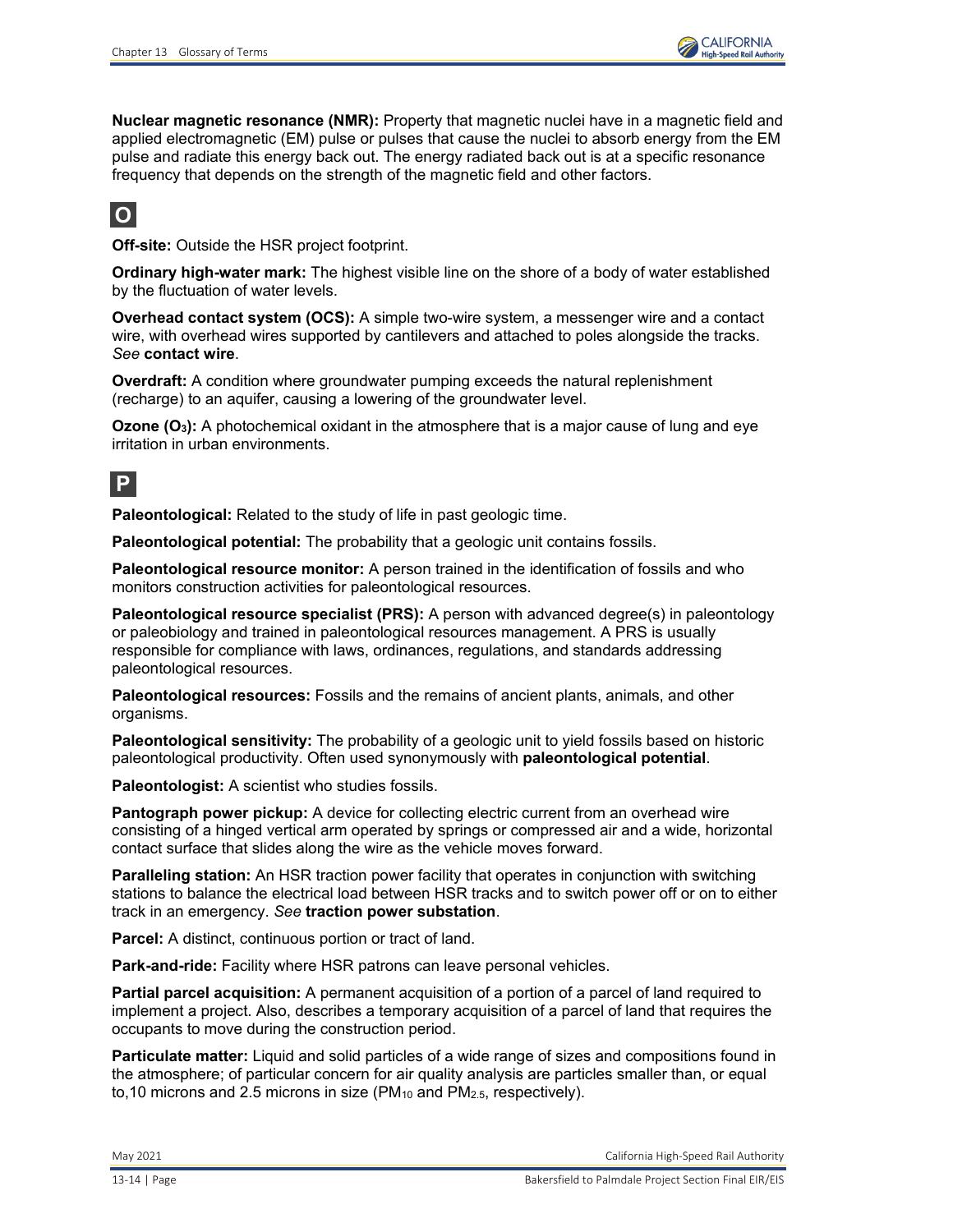**Nuclear magnetic resonance (NMR):** Property that magnetic nuclei have in a magnetic field and applied electromagnetic (EM) pulse or pulses that cause the nuclei to absorb energy from the EM pulse and radiate this energy back out. The energy radiated back out is at a specific [resonance](http://en.wikipedia.org/wiki/Resonance) frequency that depends on the strength of the magnetic field and other factors.

## **O**

**Off-site:** Outside the HSR project footprint.

**Ordinary high-water mark:** The highest visible line on the shore of a body of water established by the fluctuation of water levels.

**Overhead contact system (OCS):** A simple two-wire system, a messenger wire and a contact wire, with overhead wires supported by cantilevers and attached to poles alongside the tracks. *See* **contact wire**.

**Overdraft:** A condition where groundwater pumping exceeds the natural replenishment (recharge) to an aquifer, causing a lowering of the groundwater level.

**Ozone (O<sub>3</sub>):** A photochemical oxidant in the atmosphere that is a major cause of lung and eye irritation in urban environments.

### **P**

**Paleontological:** Related to the study of life in past geologic time.

**Paleontological potential:** The probability that a geologic unit contains fossils.

**Paleontological resource monitor:** A person trained in the identification of fossils and who monitors construction activities for paleontological resources.

**Paleontological resource specialist (PRS):** A person with advanced degree(s) in paleontology or paleobiology and trained in paleontological resources management. A PRS is usually responsible for compliance with laws, ordinances, regulations, and standards addressing paleontological resources.

**Paleontological resources:** Fossils and the remains of ancient plants, animals, and other organisms.

**Paleontological sensitivity:** The probability of a geologic unit to yield fossils based on historic paleontological productivity. Often used synonymously with **paleontological potential**.

**Paleontologist:** A scientist who studies fossils.

**Pantograph power pickup:** A device for collecting electric current from an overhead wire consisting of a hinged vertical arm operated by springs or compressed air and a wide, horizontal contact surface that slides along the wire as the vehicle moves forward.

**Paralleling station:** An HSR traction power facility that operates in conjunction with switching stations to balance the electrical load between HSR tracks and to switch power off or on to either track in an emergency. *See* **traction power substation**.

**Parcel:** A distinct, continuous portion or tract of land.

**Park-and-ride:** Facility where HSR patrons can leave personal vehicles.

**Partial parcel acquisition:** A permanent acquisition of a portion of a parcel of land required to implement a project. Also, describes a temporary acquisition of a parcel of land that requires the occupants to move during the construction period.

**Particulate matter:** Liquid and solid particles of a wide range of sizes and compositions found in the atmosphere; of particular concern for air quality analysis are particles smaller than, or equal to, 10 microns and 2.5 microns in size ( $PM_{10}$  and  $PM_{2.5}$ , respectively).

May 2021 California High-Speed Rail Authority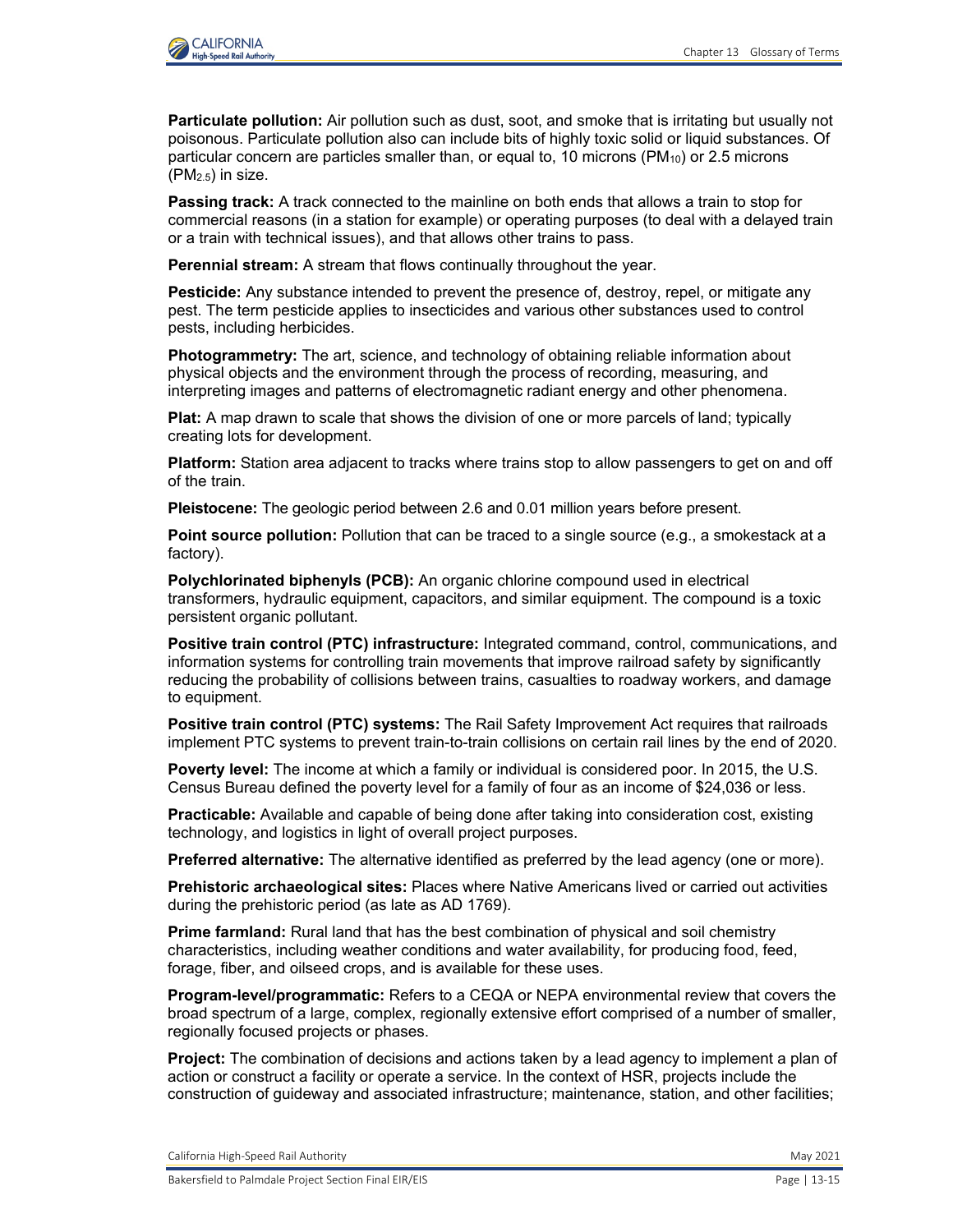

**Particulate pollution:** Air pollution such as dust, soot, and smoke that is irritating but usually not poisonous. Particulate pollution also can include bits of highly toxic solid or liquid substances. Of particular concern are particles smaller than, or equal to, 10 microns (PM10) or 2.5 microns (PM2.5) in size.

**Passing track:** A track connected to the mainline on both ends that allows a train to stop for commercial reasons (in a station for example) or operating purposes (to deal with a delayed train or a train with technical issues), and that allows other trains to pass.

**Perennial stream:** A stream that flows continually throughout the year.

**Pesticide:** Any substance intended to prevent the presence of, destroy, repel, or mitigate any pest. The term pesticide applies to insecticides and various other substances used to control pests, including herbicides.

**Photogrammetry:** The art, science, and technology of obtaining reliable information about physical objects and the environment through the process of recording, measuring, and interpreting images and patterns of electromagnetic radiant energy and other phenomena.

**Plat:** A map drawn to scale that shows the division of one or more parcels of land; typically creating lots for development.

**Platform:** Station area adjacent to tracks where trains stop to allow passengers to get on and off of the train.

**Pleistocene:** The geologic period between 2.6 and 0.01 million years before present.

**Point source pollution:** Pollution that can be traced to a single source (e.g., a smokestack at a factory).

**Polychlorinated biphenyls (PCB):** An organic chlorine compound used in electrical transformers, hydraulic equipment, capacitors, and similar equipment. The compound is a toxic persistent organic pollutant.

**Positive train control (PTC) infrastructure:** Integrated command, control, communications, and information systems for controlling train movements that improve railroad safety by significantly reducing the probability of collisions between trains, casualties to roadway workers, and damage to equipment.

**Positive train control (PTC) systems:** The Rail Safety Improvement Act requires that railroads implement PTC systems to prevent train-to-train collisions on certain rail lines by the end of 2020.

**Poverty level:** The income at which a family or individual is considered poor. In 2015, the U.S. Census Bureau defined the poverty level for a family of four as an income of \$24,036 or less.

**Practicable:** Available and capable of being done after taking into consideration cost, existing technology, and logistics in light of overall project purposes.

**Preferred alternative:** The alternative identified as preferred by the lead agency (one or more).

**Prehistoric archaeological sites:** Places where Native Americans lived or carried out activities during the prehistoric period (as late as AD 1769).

**Prime farmland:** Rural land that has the best combination of physical and soil chemistry characteristics, including weather conditions and water availability, for producing food, feed, forage, fiber, and oilseed crops, and is available for these uses.

**Program-level/programmatic:** Refers to a CEQA or NEPA environmental review that covers the broad spectrum of a large, complex, regionally extensive effort comprised of a number of smaller, regionally focused projects or phases.

**Project:** The combination of decisions and actions taken by a lead agency to implement a plan of action or construct a facility or operate a service. In the context of HSR, projects include the construction of guideway and associated infrastructure; maintenance, station, and other facilities;

California High-Speed Rail Authority May 2021 and Separation California High-Speed Rail Authority May 2021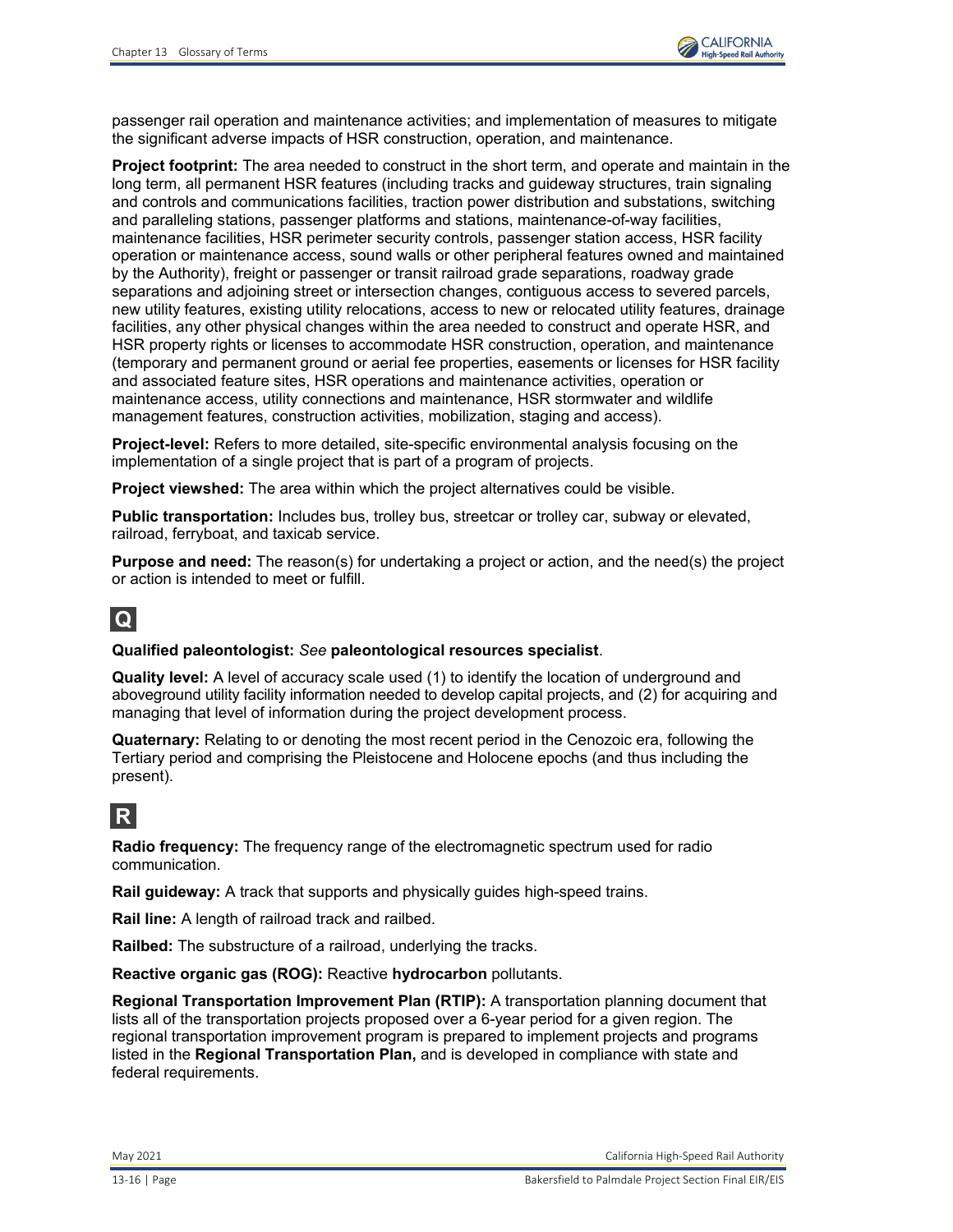passenger rail operation and maintenance activities; and implementation of measures to mitigate the significant adverse impacts of HSR construction, operation, and maintenance.

**Project footprint:** The area needed to construct in the short term, and operate and maintain in the long term, all permanent HSR features (including tracks and guideway structures, train signaling and controls and communications facilities, traction power distribution and substations, switching and paralleling stations, passenger platforms and stations, maintenance-of-way facilities, maintenance facilities, HSR perimeter security controls, passenger station access, HSR facility operation or maintenance access, sound walls or other peripheral features owned and maintained by the Authority), freight or passenger or transit railroad grade separations, roadway grade separations and adjoining street or intersection changes, contiguous access to severed parcels, new utility features, existing utility relocations, access to new or relocated utility features, drainage facilities, any other physical changes within the area needed to construct and operate HSR, and HSR property rights or licenses to accommodate HSR construction, operation, and maintenance (temporary and permanent ground or aerial fee properties, easements or licenses for HSR facility and associated feature sites, HSR operations and maintenance activities, operation or maintenance access, utility connections and maintenance, HSR stormwater and wildlife management features, construction activities, mobilization, staging and access).

**Project-level:** Refers to more detailed, site-specific environmental analysis focusing on the implementation of a single project that is part of a program of projects.

**Project viewshed:** The area within which the project alternatives could be visible.

**Public transportation:** Includes bus, trolley bus, streetcar or trolley car, subway or elevated, railroad, ferryboat, and taxicab service.

**Purpose and need:** The reason(s) for undertaking a project or action, and the need(s) the project or action is intended to meet or fulfill.

## **Q**

#### **Qualified paleontologist:** *See* **paleontological resources specialist**.

**Quality level:** A level of accuracy scale used (1) to identify the location of underground and aboveground utility facility information needed to develop capital projects, and (2) for acquiring and managing that level of information during the project development process.

**Quaternary:** Relating to or denoting the most recent period in the Cenozoic era, following the Tertiary period and comprising the Pleistocene and Holocene epochs (and thus including the present).

### **R**

**Radio frequency:** The frequency range of the electromagnetic spectrum used for radio communication.

**Rail guideway:** A track that supports and physically guides high-speed trains.

**Rail line:** A length of railroad track and railbed.

**Railbed:** The substructure of a railroad, underlying the tracks.

**Reactive organic gas (ROG):** Reactive **hydrocarbon** pollutants.

**Regional Transportation Improvement Plan (RTIP):** A transportation planning document that lists all of the transportation projects proposed over a 6-year period for a given region. The regional transportation improvement program is prepared to implement projects and programs listed in the **Regional Transportation Plan,** and is developed in compliance with state and federal requirements.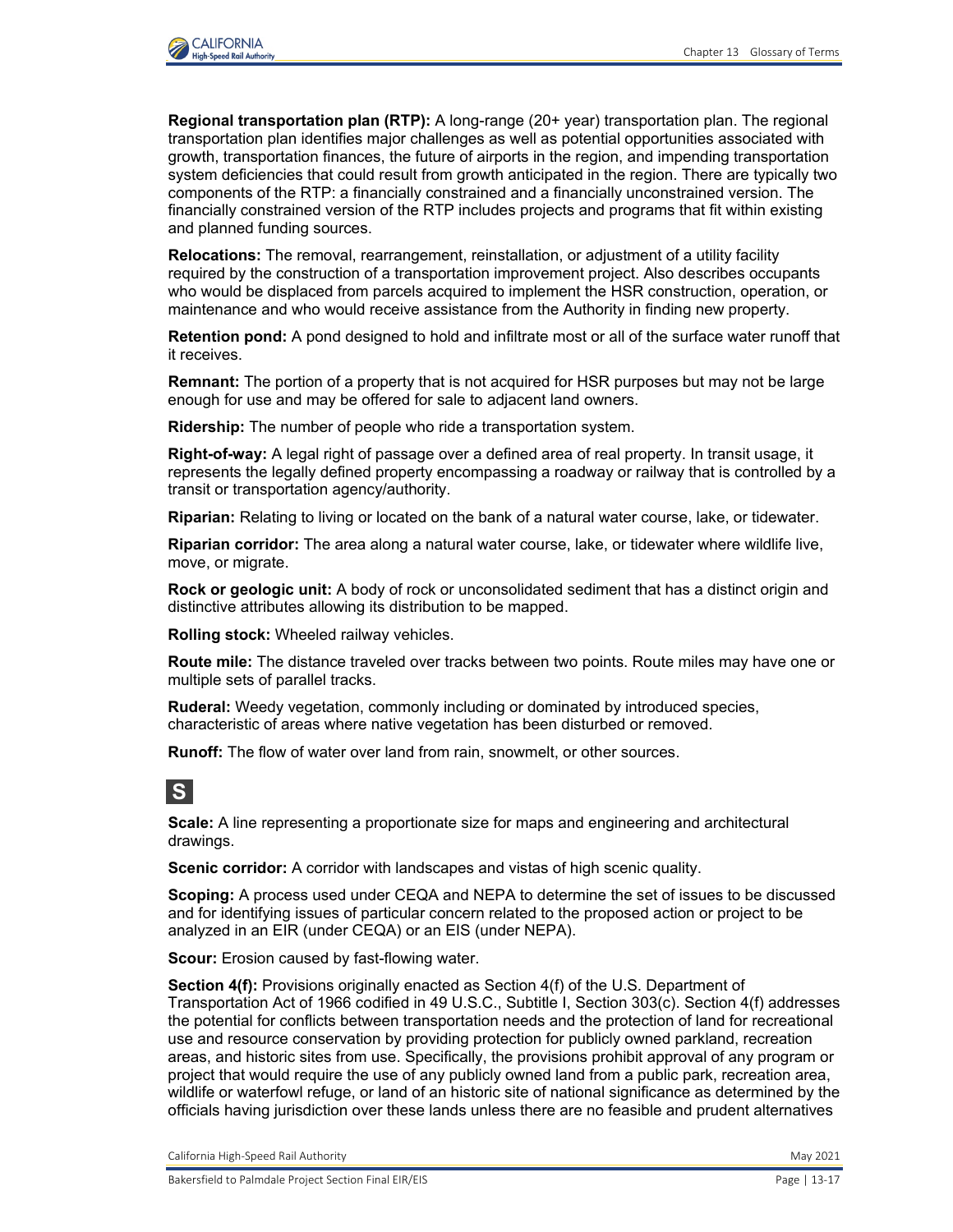

**Regional transportation plan (RTP):** A long-range (20+ year) transportation plan. The regional transportation plan identifies major challenges as well as potential opportunities associated with growth, transportation finances, the future of airports in the region, and impending transportation system deficiencies that could result from growth anticipated in the region. There are typically two components of the RTP: a financially constrained and a financially unconstrained version. The financially constrained version of the RTP includes projects and programs that fit within existing and planned funding sources.

**Relocations:** The removal, rearrangement, reinstallation, or adjustment of a utility facility required by the construction of a transportation improvement project. Also describes occupants who would be displaced from parcels acquired to implement the HSR construction, operation, or maintenance and who would receive assistance from the Authority in finding new property.

**Retention pond:** A pond designed to hold and infiltrate most or all of the surface water runoff that it receives.

**Remnant:** The portion of a property that is not acquired for HSR purposes but may not be large enough for use and may be offered for sale to adjacent land owners.

**Ridership:** The number of people who ride a transportation system.

**Right-of-way:** A legal right of passage over a defined area of real property. In transit usage, it represents the legally defined property encompassing a roadway or railway that is controlled by a transit or transportation agency/authority.

**Riparian:** Relating to living or located on the bank of a natural water course, lake, or tidewater.

**Riparian corridor:** The area along a natural water course, lake, or tidewater where wildlife live, move, or migrate.

**Rock or geologic unit:** A body of rock or unconsolidated sediment that has a distinct origin and distinctive attributes allowing its distribution to be mapped.

**Rolling stock:** Wheeled railway vehicles.

**Route mile:** The distance traveled over tracks between two points. Route miles may have one or multiple sets of parallel tracks.

**Ruderal:** Weedy vegetation, commonly including or dominated by introduced species, characteristic of areas where native vegetation has been disturbed or removed.

**Runoff:** The flow of water over land from rain, snowmelt, or other sources.

### **S**

**Scale:** A line representing a proportionate size for maps and engineering and architectural drawings.

**Scenic corridor:** A corridor with landscapes and vistas of high scenic quality.

**Scoping:** A process used under CEQA and NEPA to determine the set of issues to be discussed and for identifying issues of particular concern related to the proposed action or project to be analyzed in an EIR (under CEQA) or an EIS (under NEPA).

**Scour:** Erosion caused by fast-flowing water.

**Section 4(f):** Provisions originally enacted as Section 4(f) of the U.S. Department of Transportation Act of 1966 codified in 49 U.S.C., Subtitle I, Section 303(c). Section 4(f) addresses the potential for conflicts between transportation needs and the protection of land for recreational use and resource conservation by providing protection for publicly owned parkland, recreation areas, and historic sites from use. Specifically, the provisions prohibit approval of any program or project that would require the use of any publicly owned land from a public park, recreation area, wildlife or waterfowl refuge, or land of an historic site of national significance as determined by the officials having jurisdiction over these lands unless there are no feasible and prudent alternatives

California High-Speed Rail Authority May 2021 and Separation California High-Speed Rail Authority May 2021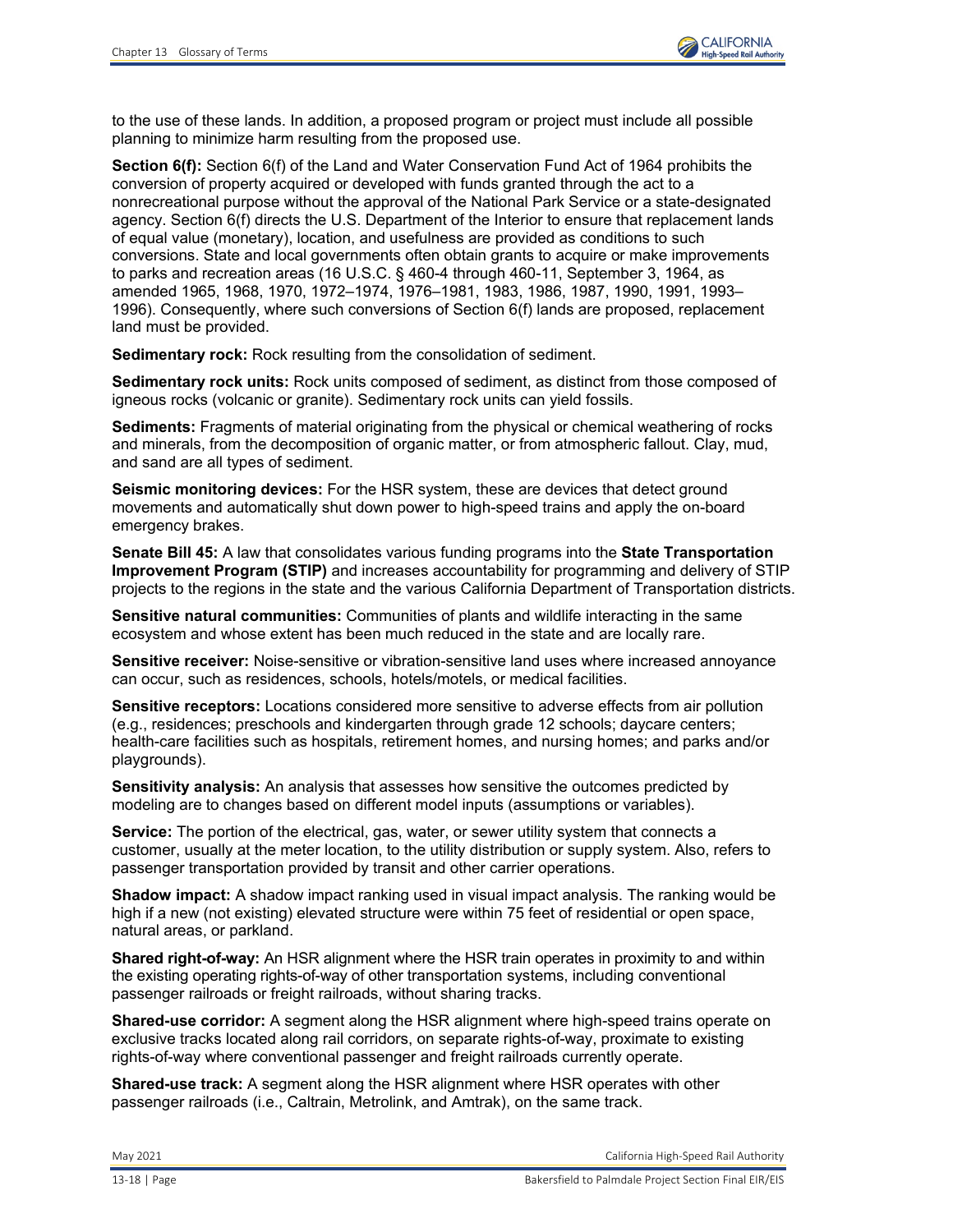to the use of these lands. In addition, a proposed program or project must include all possible planning to minimize harm resulting from the proposed use.

**Section 6(f):** Section 6(f) of the Land and Water Conservation Fund Act of 1964 prohibits the conversion of property acquired or developed with funds granted through the act to a nonrecreational purpose without the approval of the National Park Service or a state-designated agency. Section 6(f) directs the U.S. Department of the Interior to ensure that replacement lands of equal value (monetary), location, and usefulness are provided as conditions to such conversions. State and local governments often obtain grants to acquire or make improvements to parks and recreation areas (16 U.S.C. § 460-4 through 460-11, September 3, 1964, as amended 1965, 1968, 1970, 1972–1974, 1976–1981, 1983, 1986, 1987, 1990, 1991, 1993– 1996). Consequently, where such conversions of Section 6(f) lands are proposed, replacement land must be provided.

**Sedimentary rock:** Rock resulting from the consolidation of sediment.

**Sedimentary rock units:** Rock units composed of sediment, as distinct from those composed of igneous rocks (volcanic or granite). Sedimentary rock units can yield fossils.

**Sediments:** Fragments of material originating from the physical or chemical weathering of rocks and minerals, from the decomposition of organic matter, or from atmospheric fallout. Clay, mud, and sand are all types of sediment.

**Seismic monitoring devices:** For the HSR system, these are devices that detect ground movements and automatically shut down power to high-speed trains and apply the on-board emergency brakes.

**Senate Bill 45:** A law that consolidates various funding programs into the **State Transportation Improvement Program (STIP)** and increases accountability for programming and delivery of STIP projects to the regions in the state and the various California Department of Transportation districts.

**Sensitive natural communities:** Communities of plants and wildlife interacting in the same ecosystem and whose extent has been much reduced in the state and are locally rare.

**Sensitive receiver:** Noise-sensitive or vibration-sensitive land uses where increased annoyance can occur, such as residences, schools, hotels/motels, or medical facilities.

**Sensitive receptors:** Locations considered more sensitive to adverse effects from air pollution (e.g., residences; preschools and kindergarten through grade 12 schools; daycare centers; health-care facilities such as hospitals, retirement homes, and nursing homes; and parks and/or playgrounds).

**Sensitivity analysis:** An analysis that assesses how sensitive the outcomes predicted by modeling are to changes based on different model inputs (assumptions or variables).

**Service:** The portion of the electrical, gas, water, or sewer utility system that connects a customer, usually at the meter location, to the utility distribution or supply system. Also, refers to passenger transportation provided by transit and other carrier operations.

**Shadow impact:** A shadow impact ranking used in visual impact analysis. The ranking would be high if a new (not existing) elevated structure were within 75 feet of residential or open space, natural areas, or parkland.

**Shared right-of-way:** An HSR alignment where the HSR train operates in proximity to and within the existing operating rights-of-way of other transportation systems, including conventional passenger railroads or freight railroads, without sharing tracks.

**Shared-use corridor:** A segment along the HSR alignment where high-speed trains operate on exclusive tracks located along rail corridors, on separate rights-of-way, proximate to existing rights-of-way where conventional passenger and freight railroads currently operate.

**Shared-use track:** A segment along the HSR alignment where HSR operates with other passenger railroads (i.e., Caltrain, Metrolink, and Amtrak), on the same track.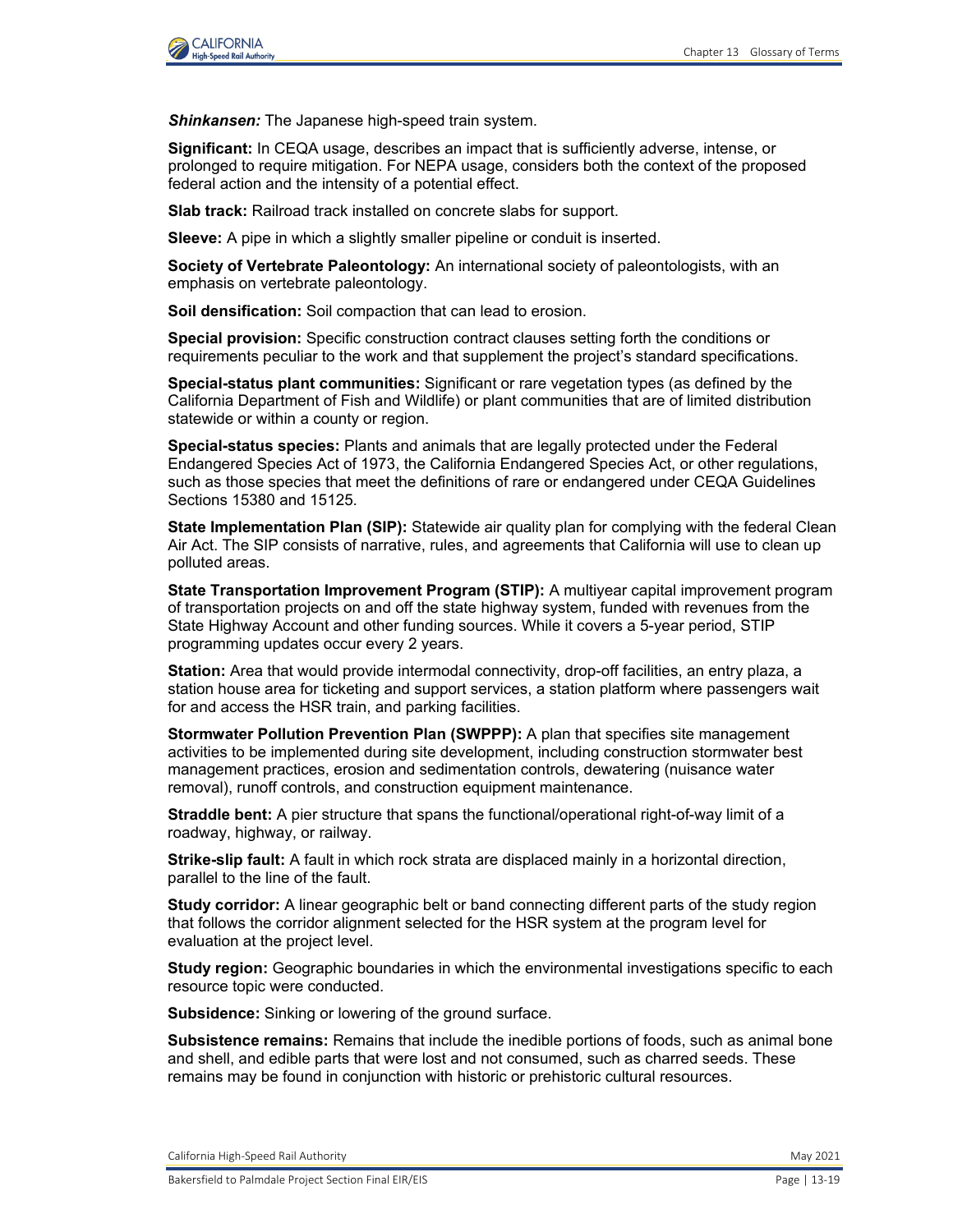

*Shinkansen:* The Japanese high-speed train system.

**Significant:** In CEQA usage, describes an impact that is sufficiently adverse, intense, or prolonged to require mitigation. For NEPA usage, considers both the context of the proposed federal action and the intensity of a potential effect.

**Slab track:** Railroad track installed on concrete slabs for support.

**Sleeve:** A pipe in which a slightly smaller pipeline or conduit is inserted.

**Society of Vertebrate Paleontology:** An international society of paleontologists, with an emphasis on vertebrate paleontology.

**Soil densification:** Soil compaction that can lead to erosion.

**Special provision:** Specific construction contract clauses setting forth the conditions or requirements peculiar to the work and that supplement the project's standard specifications.

**Special-status plant communities:** Significant or rare vegetation types (as defined by the California Department of Fish and Wildlife) or plant communities that are of limited distribution statewide or within a county or region.

**Special-status species:** Plants and animals that are legally protected under the Federal Endangered Species Act of 1973, the California Endangered Species Act, or other regulations, such as those species that meet the definitions of rare or endangered under CEQA Guidelines Sections 15380 and 15125.

**State Implementation Plan (SIP):** Statewide air quality plan for complying with the federal Clean Air Act. The SIP consists of narrative, rules, and agreements that California will use to clean up polluted areas.

**State Transportation Improvement Program (STIP):** A multiyear capital improvement program of transportation projects on and off the state highway system, funded with revenues from the State Highway Account and other funding sources. While it covers a 5-year period, STIP programming updates occur every 2 years.

**Station:** Area that would provide intermodal connectivity, drop-off facilities, an entry plaza, a station house area for ticketing and support services, a station platform where passengers wait for and access the HSR train, and parking facilities.

**Stormwater Pollution Prevention Plan (SWPPP):** A plan that specifies site management activities to be implemented during site development, including construction stormwater best management practices, erosion and sedimentation controls, dewatering (nuisance water removal), runoff controls, and construction equipment maintenance.

**Straddle bent:** A pier structure that spans the functional/operational right-of-way limit of a roadway, highway, or railway.

**Strike-slip fault:** A fault in which rock strata are displaced mainly in a horizontal direction, parallel to the line of the fault.

**Study corridor:** A linear geographic belt or band connecting different parts of the study region that follows the corridor alignment selected for the HSR system at the program level for evaluation at the project level.

**Study region:** Geographic boundaries in which the environmental investigations specific to each resource topic were conducted.

**Subsidence:** Sinking or lowering of the ground surface.

**Subsistence remains:** Remains that include the inedible portions of foods, such as animal bone and shell, and edible parts that were lost and not consumed, such as charred seeds. These remains may be found in conjunction with historic or prehistoric cultural resources.

California High-Speed Rail Authority May 2021 and Separation California High-Speed Rail Authority May 2021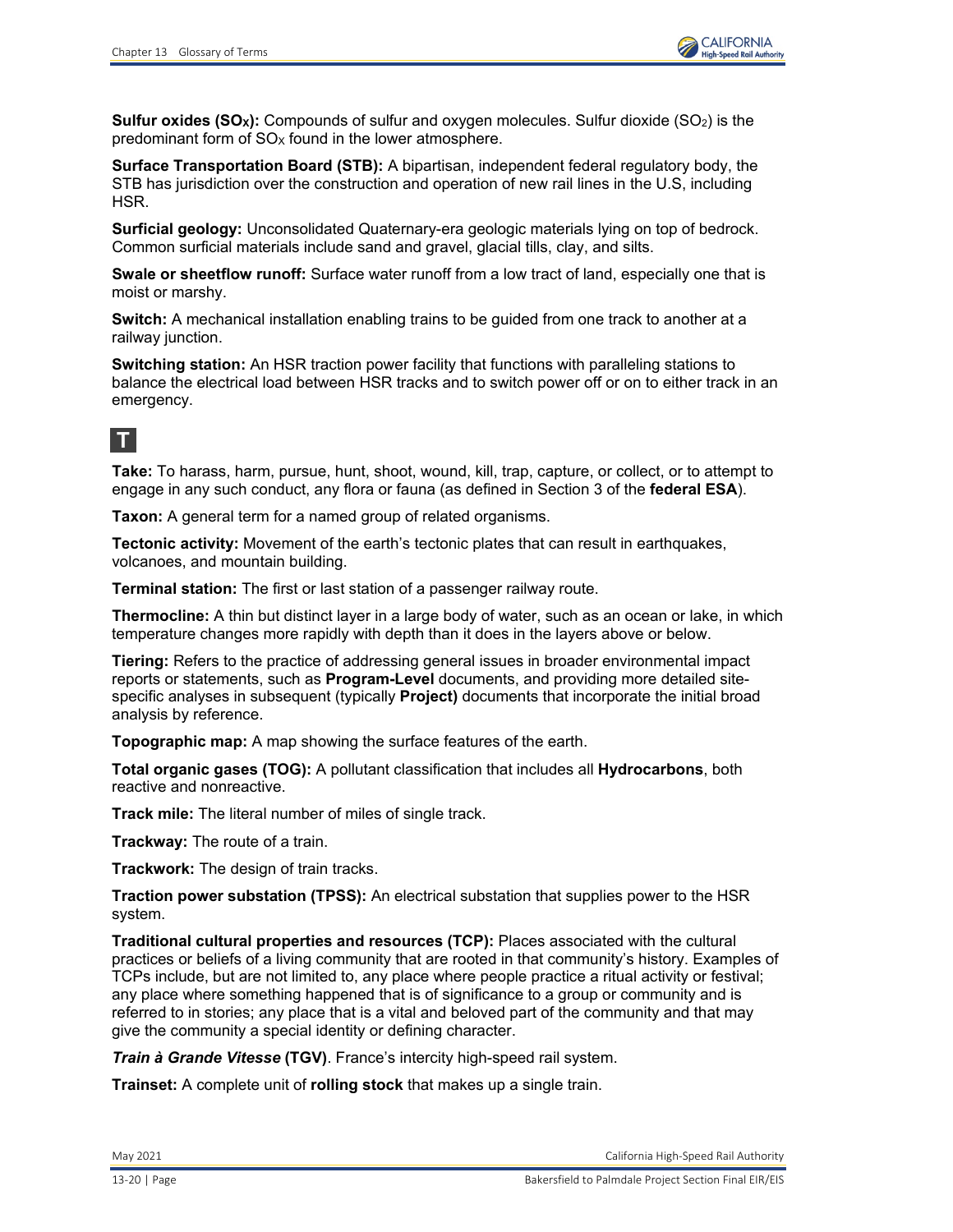**Sulfur oxides (SO<sub>x</sub>):** Compounds of sulfur and oxygen molecules. Sulfur dioxide (SO<sub>2</sub>) is the predominant form of  $SO<sub>x</sub>$  found in the lower atmosphere.

**Surface Transportation Board (STB):** A bipartisan, independent federal regulatory body, the STB has jurisdiction over the construction and operation of new rail lines in the U.S, including HSR.

**Surficial geology:** Unconsolidated Quaternary-era geologic materials lying on top of bedrock. Common surficial materials include sand and gravel, glacial tills, clay, and silts.

**Swale or sheetflow runoff:** Surface water runoff from a low tract of land, especially one that is moist or marshy.

**Switch:** A mechanical installation enabling trains to be guided from one track to another at a railway junction.

**Switching station:** An HSR traction power facility that functions with paralleling stations to balance the electrical load between HSR tracks and to switch power off or on to either track in an emergency.

## **T**

**Take:** To harass, harm, pursue, hunt, shoot, wound, kill, trap, capture, or collect, or to attempt to engage in any such conduct, any flora or fauna (as defined in Section 3 of the **federal ESA**).

**Taxon:** A general term for a named group of related organisms.

**Tectonic activity:** Movement of the earth's tectonic plates that can result in earthquakes, volcanoes, and mountain building.

**Terminal station:** The first or last station of a passenger railway route.

**Thermocline:** A thin but distinct layer in a large body of water, such as an ocean or lake, in which temperature changes more rapidly with depth than it does in the layers above or below.

**Tiering:** Refers to the practice of addressing general issues in broader environmental impact reports or statements, such as **Program-Level** documents, and providing more detailed sitespecific analyses in subsequent (typically **Project)** documents that incorporate the initial broad analysis by reference.

**Topographic map:** A map showing the surface features of the earth.

**Total organic gases (TOG):** A pollutant classification that includes all **Hydrocarbons**, both reactive and nonreactive.

**Track mile:** The literal number of miles of single track.

**Trackway:** The route of a train.

**Trackwork:** The design of train tracks.

**Traction power substation (TPSS):** An electrical substation that supplies power to the HSR system.

**Traditional cultural properties and resources (TCP):** Places associated with the cultural practices or beliefs of a living community that are rooted in that community's history. Examples of TCPs include, but are not limited to, any place where people practice a ritual activity or festival; any place where something happened that is of significance to a group or community and is referred to in stories; any place that is a vital and beloved part of the community and that may give the community a special identity or defining character.

*Train à Grande Vitesse* **(TGV)**. France's intercity high-speed rail system.

**Trainset:** A complete unit of **rolling stock** that makes up a single train.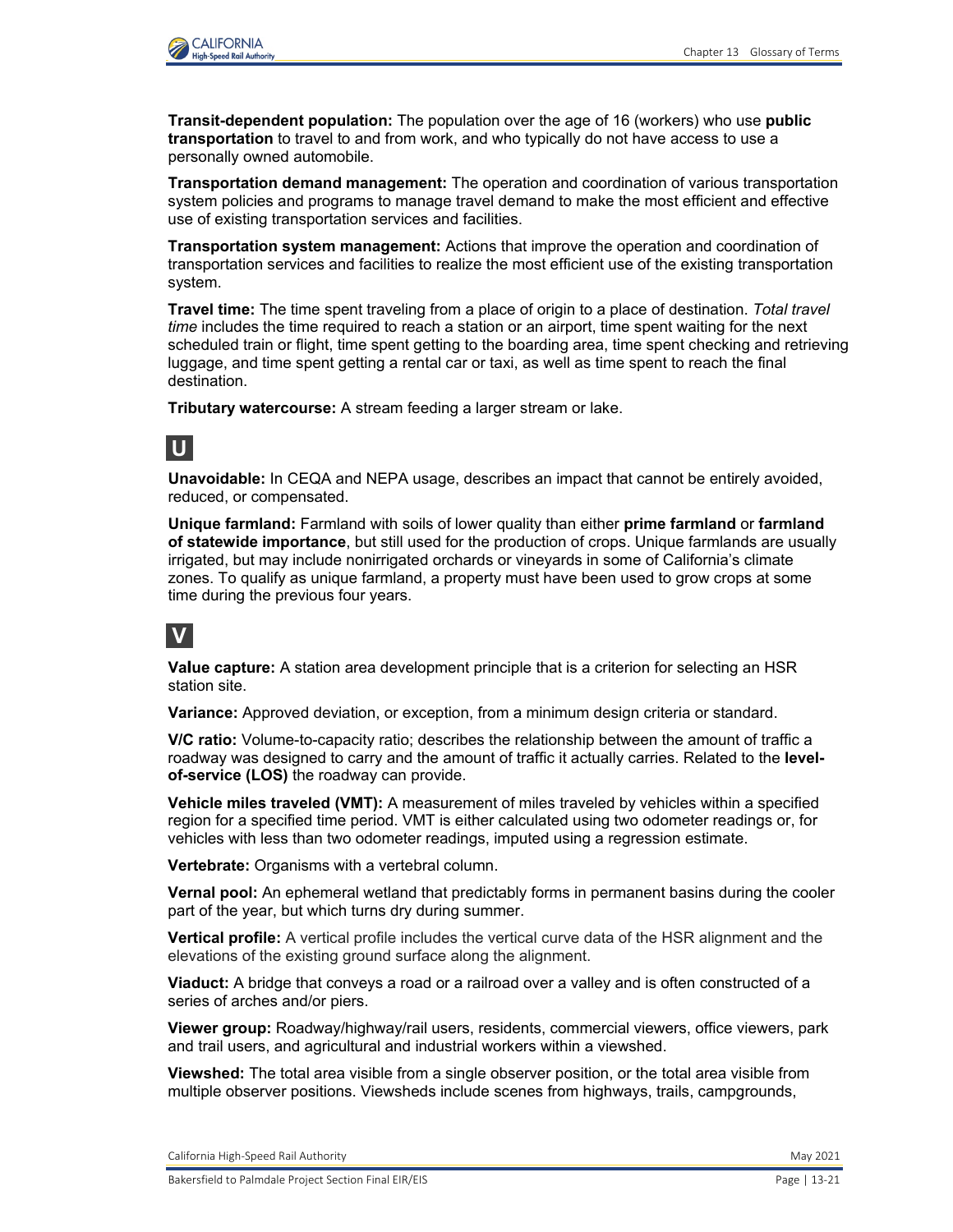

**Transit-dependent population:** The population over the age of 16 (workers) who use **public transportation** to travel to and from work, and who typically do not have access to use a personally owned automobile.

**Transportation demand management:** The operation and coordination of various transportation system policies and programs to manage travel demand to make the most efficient and effective use of existing transportation services and facilities.

**Transportation system management:** Actions that improve the operation and coordination of transportation services and facilities to realize the most efficient use of the existing transportation system.

**Travel time:** The time spent traveling from a place of origin to a place of destination. *Total travel time* includes the time required to reach a station or an airport, time spent waiting for the next scheduled train or flight, time spent getting to the boarding area, time spent checking and retrieving luggage, and time spent getting a rental car or taxi, as well as time spent to reach the final destination.

**Tributary watercourse:** A stream feeding a larger stream or lake.

## **U**

**Unavoidable:** In CEQA and NEPA usage, describes an impact that cannot be entirely avoided, reduced, or compensated.

**Unique farmland:** Farmland with soils of lower quality than either **prime farmland** or **farmland of statewide importance**, but still used for the production of crops. Unique farmlands are usually irrigated, but may include nonirrigated orchards or vineyards in some of California's climate zones. To qualify as unique farmland, a property must have been used to grow crops at some time during the previous four years.

## **V**

**Value capture:** A station area development principle that is a criterion for selecting an HSR station site.

**Variance:** Approved deviation, or exception, from a minimum design criteria or standard.

**V/C ratio:** Volume-to-capacity ratio; describes the relationship between the amount of traffic a roadway was designed to carry and the amount of traffic it actually carries. Related to the **levelof-service (LOS)** the roadway can provide.

**Vehicle miles traveled (VMT):** A measurement of miles traveled by vehicles within a specified region for a specified time period. VMT is either calculated using two odometer readings or, for vehicles with less than two odometer readings, imputed using a regression estimate.

**Vertebrate:** Organisms with a vertebral column.

**Vernal pool:** An ephemeral wetland that predictably forms in permanent basins during the cooler part of the year, but which turns dry during summer.

**Vertical profile:** A vertical profile includes the vertical curve data of the HSR alignment and the elevations of the existing ground surface along the alignment.

**Viaduct:** A bridge that conveys a road or a railroad over a valley and is often constructed of a series of arches and/or piers.

**Viewer group:** Roadway/highway/rail users, residents, commercial viewers, office viewers, park and trail users, and agricultural and industrial workers within a viewshed.

**Viewshed:** The total area visible from a single observer position, or the total area visible from multiple observer positions. Viewsheds include scenes from highways, trails, campgrounds,

California High-Speed Rail Authority **May 2021** 2021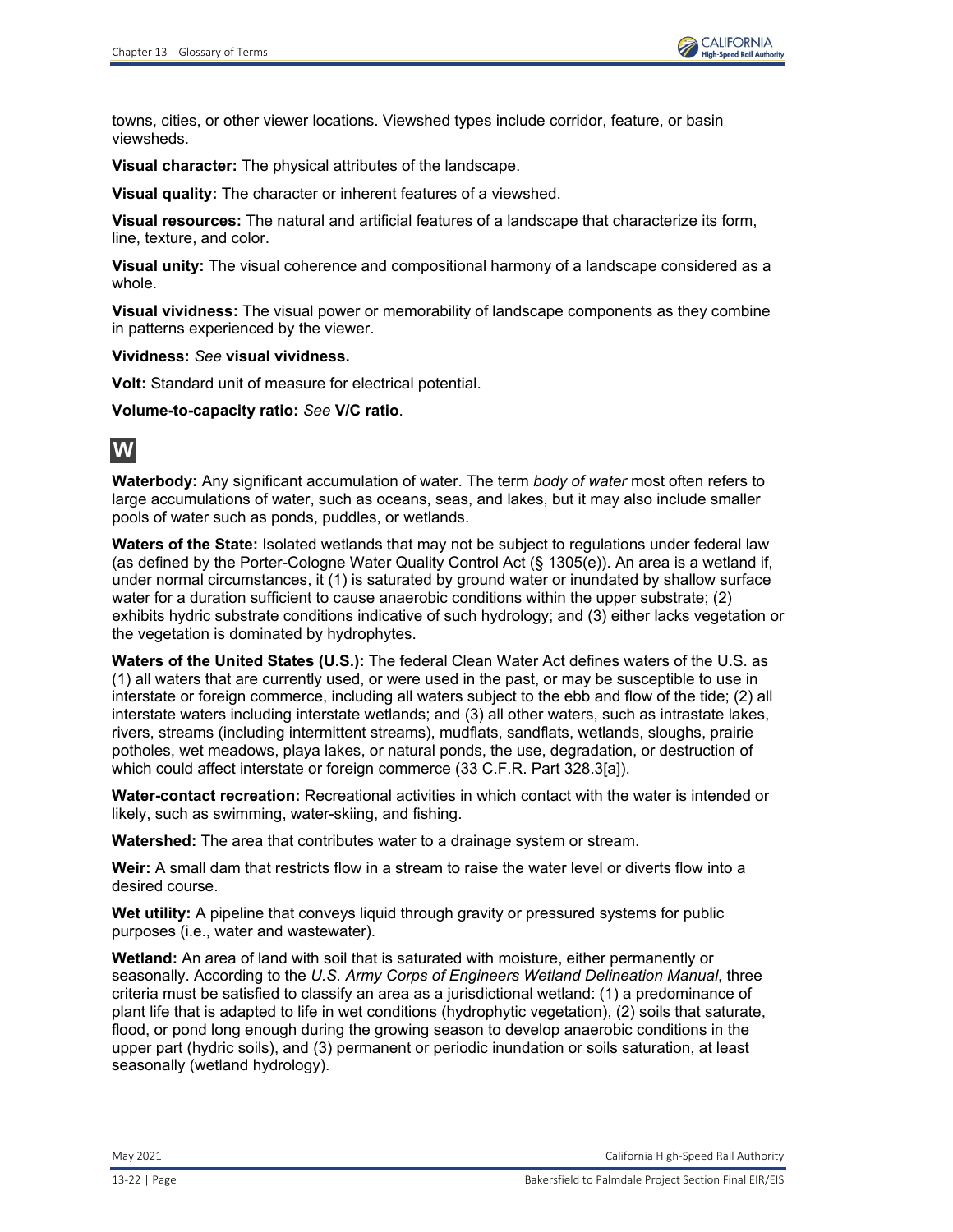towns, cities, or other viewer locations. Viewshed types include corridor, feature, or basin viewsheds.

**Visual character:** The physical attributes of the landscape.

**Visual quality:** The character or inherent features of a viewshed.

**Visual resources:** The natural and artificial features of a landscape that characterize its form, line, texture, and color.

**Visual unity:** The visual coherence and compositional harmony of a landscape considered as a whole.

**Visual vividness:** The visual power or memorability of landscape components as they combine in patterns experienced by the viewer.

**Vividness:** *See* **visual vividness.**

**Volt:** Standard unit of measure for electrical potential.

**Volume-to-capacity ratio:** *See* **V/C ratio**.

## **W**

**Waterbody:** Any significant accumulation of water. The term *body of water* most often refers to large accumulations of water, such as oceans, seas, and lakes, but it may also include smaller pools of water such as ponds, puddles, or wetlands.

**Waters of the State:** Isolated wetlands that may not be subject to regulations under federal law (as defined by the Porter-Cologne Water Quality Control Act (§ 1305(e)). An area is a wetland if, under normal circumstances, it (1) is saturated by ground water or inundated by shallow surface water for a duration sufficient to cause anaerobic conditions within the upper substrate; (2) exhibits hydric substrate conditions indicative of such hydrology; and (3) either lacks vegetation or the vegetation is dominated by hydrophytes.

**Waters of the United States (U.S.):** The federal Clean Water Act defines waters of the U.S. as (1) all waters that are currently used, or were used in the past, or may be susceptible to use in interstate or foreign commerce, including all waters subject to the ebb and flow of the tide; (2) all interstate waters including interstate wetlands; and (3) all other waters, such as intrastate lakes, rivers, streams (including intermittent streams), mudflats, sandflats, wetlands, sloughs, prairie potholes, wet meadows, playa lakes, or natural ponds, the use, degradation, or destruction of which could affect interstate or foreign commerce (33 C.F.R. Part 328.3[a]).

**Water-contact recreation:** Recreational activities in which contact with the water is intended or likely, such as swimming, water-skiing, and fishing.

**Watershed:** The area that contributes water to a drainage system or stream.

**Weir:** A small dam that restricts flow in a stream to raise the water level or diverts flow into a desired course.

**Wet utility:** A pipeline that conveys liquid through gravity or pressured systems for public purposes (i.e., water and wastewater).

**Wetland:** An area of land with soil that is saturated with moisture, either permanently or seasonally. According to the *U.S. Army Corps of Engineers Wetland Delineation Manual*, three criteria must be satisfied to classify an area as a jurisdictional wetland: (1) a predominance of plant life that is adapted to life in wet conditions (hydrophytic vegetation), (2) soils that saturate, flood, or pond long enough during the growing season to develop anaerobic conditions in the upper part (hydric soils), and (3) permanent or periodic inundation or soils saturation, at least seasonally (wetland hydrology).

May 2021 California High-Speed Rail Authority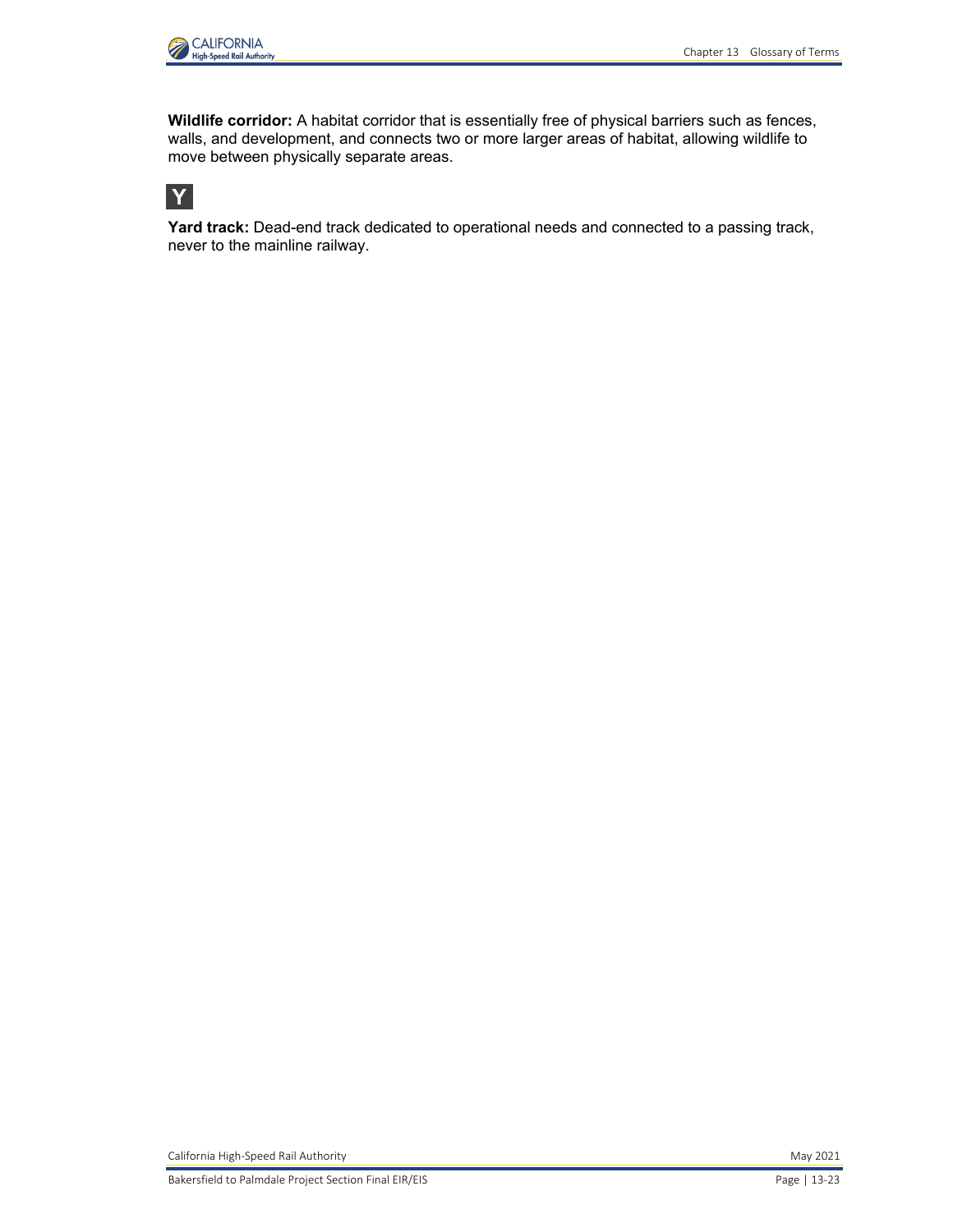

**Wildlife corridor:** A habitat corridor that is essentially free of physical barriers such as fences, walls, and development, and connects two or more larger areas of habitat, allowing wildlife to move between physically separate areas.



**Yard track:** Dead-end track dedicated to operational needs and connected to a passing track, never to the mainline railway.

California High-Speed Rail Authority **May 2021** California High-Speed Rail Authority